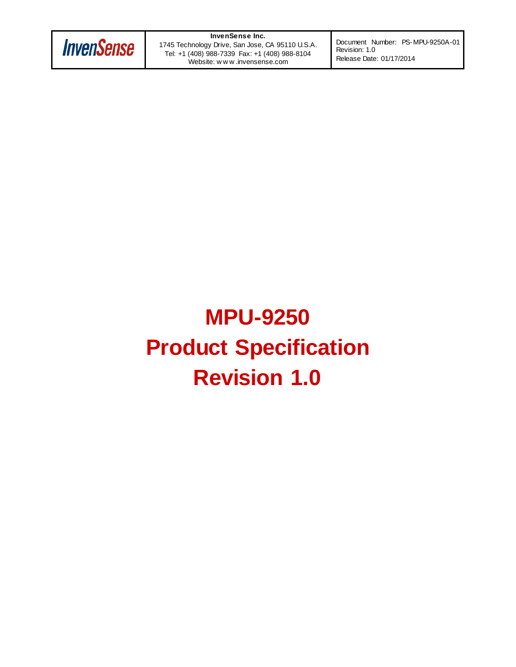

**InvenSense Inc.** 1745 Technology Drive, San Jose, CA 95110 U.S.A. Tel: +1 (408) 988-7339 Fax: +1 (408) 988-8104 Website: w w w .invensense.com

Document Number: PS-MPU-9250A-01 Revision: 1.0 Release Date: 01/17/2014

# **MPU-9250 Product Specification Revision 1.0**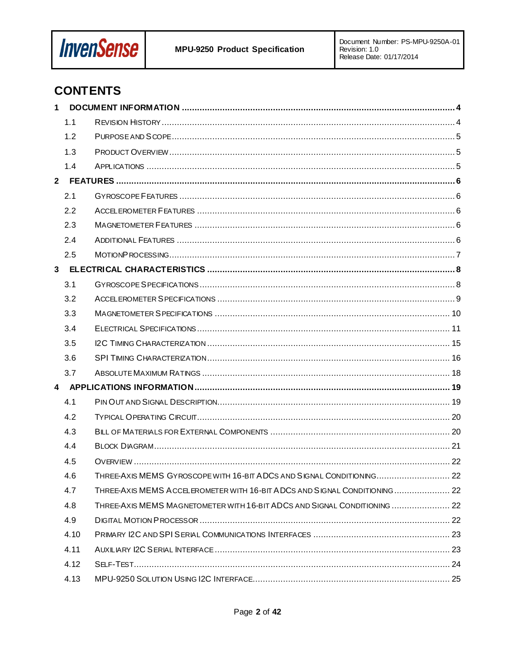

# **CONTENTS**

| 1 |      |                                                                            |  |
|---|------|----------------------------------------------------------------------------|--|
|   | 1.1  |                                                                            |  |
|   | 1.2  |                                                                            |  |
|   | 1.3  |                                                                            |  |
|   | 1.4  |                                                                            |  |
|   |      |                                                                            |  |
|   | 2.1  |                                                                            |  |
|   | 2.2  |                                                                            |  |
|   | 2.3  |                                                                            |  |
|   | 2.4  |                                                                            |  |
|   | 2.5  |                                                                            |  |
|   |      |                                                                            |  |
|   | 3.1  |                                                                            |  |
|   | 3.2  |                                                                            |  |
|   | 3.3  |                                                                            |  |
|   | 3.4  |                                                                            |  |
|   | 3.5  |                                                                            |  |
|   | 3.6  |                                                                            |  |
|   | 3.7  |                                                                            |  |
|   |      |                                                                            |  |
|   | 4.1  |                                                                            |  |
|   | 4.2  |                                                                            |  |
|   | 4.3  |                                                                            |  |
|   | 4.4  |                                                                            |  |
|   | 4.5  |                                                                            |  |
|   | 4.6  | THREE-AXIS MEMS GYROSCOPE WITH 16-BIT ADCS AND SIGNAL CONDITIONING 22      |  |
|   | 4.7  | THREE-AXIS MEMS ACCELEROMETER WITH 16-BIT ADCS AND SIGNAL CONDITIONING  22 |  |
|   | 4.8  | THREE-AXIS MEMS MAGNETOMETER WITH 16-BIT ADCS AND SIGNAL CONDITIONING  22  |  |
|   | 4.9  |                                                                            |  |
|   | 4.10 |                                                                            |  |
|   | 4.11 |                                                                            |  |
|   | 4.12 |                                                                            |  |
|   | 4.13 |                                                                            |  |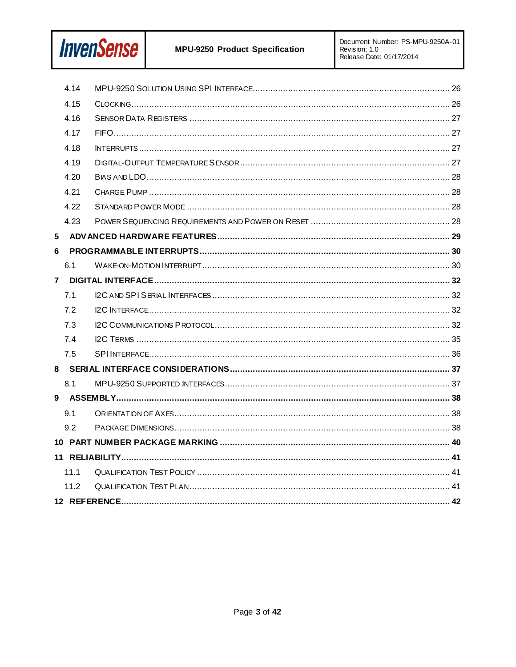

|   | 4.14 |  |
|---|------|--|
|   | 4.15 |  |
|   | 4.16 |  |
|   | 4.17 |  |
|   | 4.18 |  |
|   | 4.19 |  |
|   | 4.20 |  |
|   | 4.21 |  |
|   | 4.22 |  |
|   | 4.23 |  |
| 5 |      |  |
| 6 |      |  |
|   | 6.1  |  |
|   |      |  |
|   | 7.1  |  |
|   | 7.2  |  |
|   | 7.3  |  |
|   | 7.4  |  |
|   | 7.5  |  |
|   |      |  |
|   | 8.1  |  |
|   |      |  |
|   | 9.1  |  |
|   | 9.2  |  |
|   |      |  |
|   |      |  |
|   | 11.1 |  |
|   | 11.2 |  |
|   |      |  |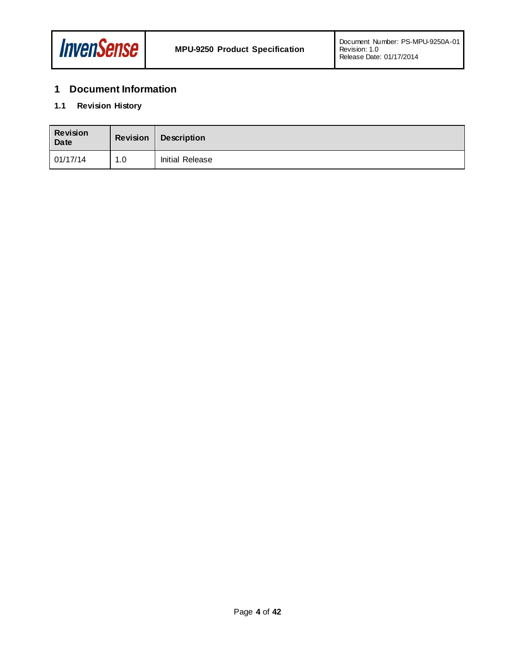

# <span id="page-3-0"></span>**1 Document Information**

## <span id="page-3-1"></span>**1.1 Revision History**

| <b>Revision</b><br>Date | <b>Revision</b> | <b>Description</b> |
|-------------------------|-----------------|--------------------|
| 01/17/14                | 1.0             | Initial Release    |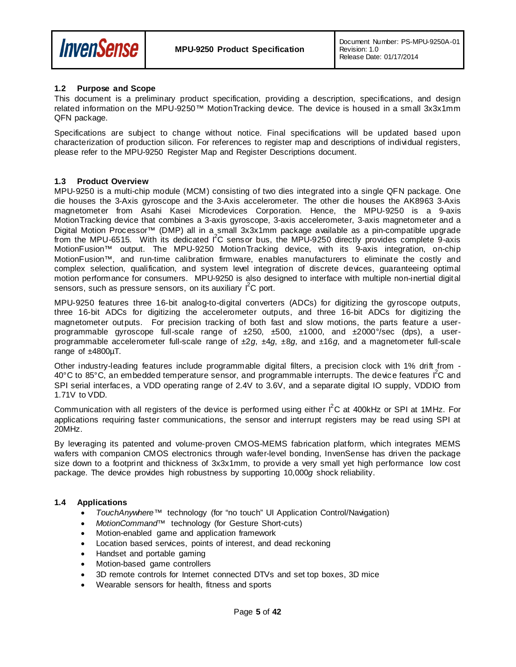

#### <span id="page-4-0"></span>**1.2 Purpose and Scope**

This document is a preliminary product specification, providing a description, specifications, and design related information on the MPU-9250™ MotionTracking device. The device is housed in a small 3x3x1mm QFN package.

Specifications are subject to change without notice. Final specifications will be updated based upon characterization of production silicon. For references to register map and descriptions of individual registers, please refer to the MPU-9250 Register Map and Register Descriptions document.

#### <span id="page-4-1"></span>**1.3 Product Overview**

MPU-9250 is a multi-chip module (MCM) consisting of two dies integrated into a single QFN package. One die houses the 3-Axis gyroscope and the 3-Axis accelerometer. The other die houses the AK8963 3-Axis magnetometer from Asahi Kasei Microdevices Corporation. Hence, the MPU-9250 is a 9-axis MotionTracking device that combines a 3-axis gyroscope, 3-axis accelerometer, 3-axis magnetometer and a Digital Motion Processor™ (DMP) all in a small 3x3x1mm package available as a pin-compatible upgrade from the MPU-6515. With its dedicated I<sup>2</sup>C sensor bus, the MPU-9250 directly provides complete 9-axis MotionFusion<sup>™</sup> output. The MPU-9250 MotionTracking device, with its 9-axis integration, on-chip MotionFusion™, and run-time calibration firmware, enables manufacturers to eliminate the costly and complex selection, qualification, and system level integration of discrete devices, guaranteeing optimal motion performance for consumers. MPU-9250 is also designed to interface with multiple non-inertial digital sensors, such as pressure sensors, on its auxiliary  $I^2C$  port.

MPU-9250 features three 16-bit analog-to-digital converters (ADCs) for digitizing the gyroscope outputs, three 16-bit ADCs for digitizing the accelerometer outputs, and three 16-bit ADCs for digitizing the magnetometer outputs. For precision tracking of both fast and slow motions, the parts feature a userprogrammable gyroscope full-scale range of ±250, ±500, ±1000, and ±2000°/sec (dps), a userprogrammable accelerometer full-scale range of ±2*g*, ±4*g*, ±8*g*, and ±16*g*, and a magnetometer full-scale range of  $±4800\mu$ T.

Other industry-leading features include programmable digital filters, a precision clock with 1% drift from - 40°C to 85°C, an embedded temperature sensor, and programmable interrupts. The device features l<sup>2</sup>C and SPI serial interfaces, a VDD operating range of 2.4V to 3.6V, and a separate digital IO supply, VDDIO from 1.71V to VDD.

Communication with all registers of the device is performed using either  $I^2C$  at 400kHz or SPI at 1MHz. For applications requiring faster communications, the sensor and interrupt registers may be read using SPI at 20MHz.

By leveraging its patented and volume-proven CMOS-MEMS fabrication platform, which integrates MEMS wafers with companion CMOS electronics through wafer-level bonding, InvenSense has driven the package size down to a footprint and thickness of 3x3x1mm, to provide a very small yet high performance low cost package. The device provides high robustness by supporting 10,000*g* shock reliability.

#### <span id="page-4-2"></span>**1.4 Applications**

- *TouchAnywhere*™ technology (for "no touch" UI Application Control/Navigation)
- *MotionCommand*™ technology (for Gesture Short-cuts)
- Motion-enabled game and application framework
- Location based services, points of interest, and dead reckoning
- Handset and portable gaming
- Motion-based game controllers
- 3D remote controls for Internet connected DTVs and set top boxes, 3D mice
- Wearable sensors for health, fitness and sports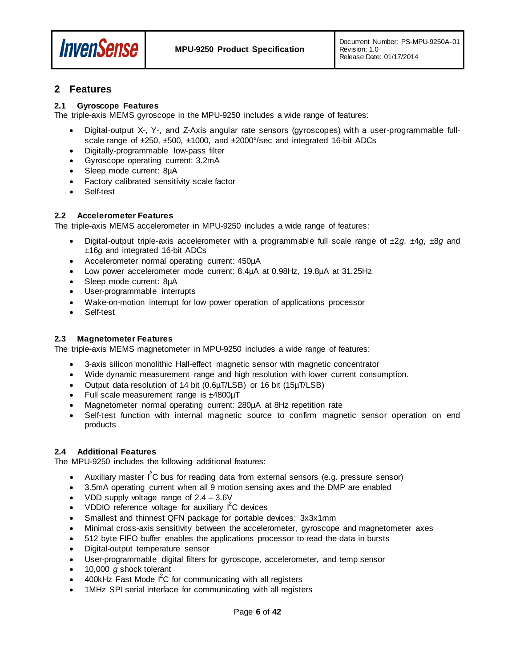

## <span id="page-5-0"></span>**2 Features**

#### <span id="page-5-1"></span>**2.1 Gyroscope Features**

The triple-axis MEMS gyroscope in the MPU-9250 includes a wide range of features:

- Digital-output X-, Y-, and Z-Axis angular rate sensors (gyroscopes) with a user-programmable fullscale range of ±250, ±500, ±1000, and ±2000°/sec and integrated 16-bit ADCs
- Digitally-programmable low-pass filter
- Gyroscope operating current: 3.2mA
- Sleep mode current: 8µA
- Factory calibrated sensitivity scale factor
- Self-test

#### <span id="page-5-2"></span>**2.2 Accelerometer Features**

The triple-axis MEMS accelerometer in MPU-9250 includes a wide range of features:

- Digital-output triple-axis accelerometer with a programmable full scale range of ±2*g*, ±4*g*, ±8*g* and ±16*g* and integrated 16-bit ADCs
- Accelerometer normal operating current: 450µA
- Low power accelerometer mode current: 8.4µA at 0.98Hz, 19.8µA at 31.25Hz
- Sleep mode current: 8µA
- User-programmable interrupts
- Wake-on-motion interrupt for low power operation of applications processor
- Self-test

#### <span id="page-5-3"></span>**2.3 Magnetometer Features**

The triple-axis MEMS magnetometer in MPU-9250 includes a wide range of features:

- 3-axis silicon monolithic Hall-effect magnetic sensor with magnetic concentrator
- Wide dynamic measurement range and high resolution with lower current consumption.
- Output data resolution of 14 bit (0.6µT/LSB) or 16 bit (15µT/LSB)
- Full scale measurement range is ±4800µT
- Magnetometer normal operating current: 280µA at 8Hz repetition rate
- Self-test function with internal magnetic source to confirm magnetic sensor operation on end products

#### <span id="page-5-4"></span>**2.4 Additional Features**

The MPU-9250 includes the following additional features:

- Auxiliary master  $I^2C$  bus for reading data from external sensors (e.g. pressure sensor)
- 3.5mA operating current when all 9 motion sensing axes and the DMP are enabled
- VDD supply voltage range of  $2.4 3.6V$
- VDDIO reference voltage for auxiliary  $I^2C$  devices
- Smallest and thinnest QFN package for portable devices: 3x3x1mm
- Minimal cross-axis sensitivity between the accelerometer, gyroscope and magnetometer axes
- 512 byte FIFO buffer enables the applications processor to read the data in bursts
- Digital-output temperature sensor
- User-programmable digital filters for gyroscope, accelerometer, and temp sensor
- 10,000 *g* shock tolerant
- $\bullet$  400kHz Fast Mode  $I^2C$  for communicating with all registers
- 1MHz SPI serial interface for communicating with all registers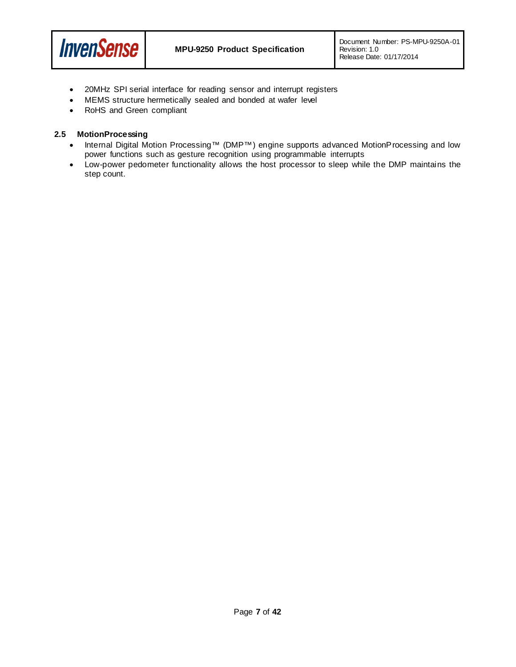

- 20MHz SPI serial interface for reading sensor and interrupt registers
- MEMS structure hermetically sealed and bonded at wafer level
- RoHS and Green compliant

#### <span id="page-6-0"></span>**2.5 MotionProcessing**

- Internal Digital Motion Processing™ (DMP™) engine supports advanced MotionProcessing and low power functions such as gesture recognition using programmable interrupts
- Low-power pedometer functionality allows the host processor to sleep while the DMP maintains the step count.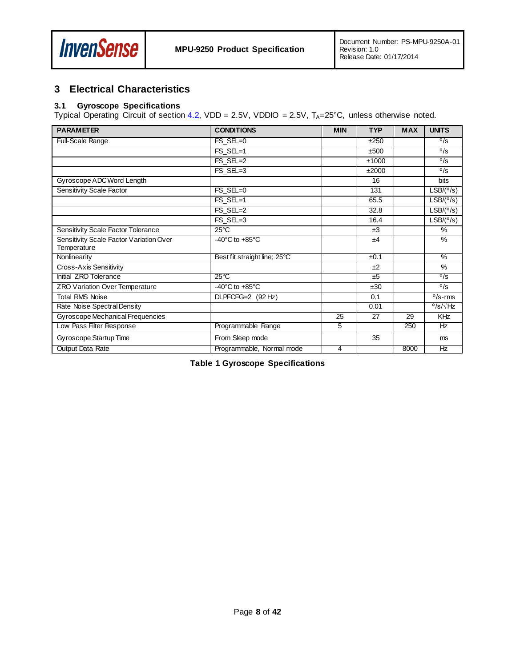

## <span id="page-7-0"></span>**3 Electrical Characteristics**

#### <span id="page-7-1"></span>**3.1 Gyroscope Specifications**

Typical Operating Circuit of section  $4.2$ , VDD = 2.5V, VDDIO = 2.5V, T<sub>A</sub>=25°C, unless otherwise noted.

| <b>PARAMETER</b>                        | <b>CONDITIONS</b>                    | <b>MIN</b> | <b>TYP</b> | <b>MAX</b> | <b>UNITS</b>               |
|-----------------------------------------|--------------------------------------|------------|------------|------------|----------------------------|
| Full-Scale Range                        | $FS$ $SEL=0$                         |            | ±250       |            | $\frac{0}{\text{S}}$       |
|                                         | FS SEL=1                             |            | ±500       |            | $\sigma$ /s                |
|                                         | FS SEL=2                             |            | ±1000      |            | $^{\circ}/s$               |
|                                         | FS_SEL=3                             |            | ±2000      |            | 0/S                        |
| Gyroscope ADC Word Length               |                                      |            | 16         |            | bits                       |
| Sensitivity Scale Factor                | FS SEL=0                             |            | 131        |            | LSB/(°/s)                  |
|                                         | FS SEL=1                             |            | 65.5       |            | LSB/(°/s)                  |
|                                         | FS SEL=2                             |            | 32.8       |            | LSB/(°/s)                  |
|                                         | FS SEL=3                             |            | 16.4       |            | LSB/(°/s)                  |
| Sensitivity Scale Factor Tolerance      | $25^{\circ}$ C                       |            | ±3         |            | %                          |
| Sensitivity Scale Factor Variation Over | $-40^{\circ}$ C to $+85^{\circ}$ C   |            | ±4         |            | %                          |
| Temperature                             |                                      |            |            |            |                            |
| Nonlinearity                            | Best fit straight line; 25°C         |            | ±0.1       |            | %                          |
| Cross-Axis Sensitivity                  |                                      |            | ±2         |            | $\%$                       |
| Initial ZRO Tolerance                   | $25^{\circ}$ C                       |            | ±5         |            | $\overline{\frac{0}{s}}$   |
| ZRO Variation Over Temperature          | -40 $^{\circ}$ C to +85 $^{\circ}$ C |            | ±30        |            | $\sigma$ /s                |
| <b>Total RMS Noise</b>                  | $DLPFCFG=2$ (92 Hz)                  |            | 0.1        |            | $0/s$ -rms                 |
| Rate Noise Spectral Density             |                                      |            | 0.01       |            | $^{\circ}$ /s/ $\sqrt{Hz}$ |
| Gyroscope Mechanical Frequencies        |                                      | 25         | 27         | 29         | <b>KHz</b>                 |
| Low Pass Filter Response                | Programmable Range                   | 5          |            | 250        | Hz                         |
| Gyroscope Startup Time                  | From Sleep mode                      |            | 35         |            | ms.                        |
| Output Data Rate                        | Programmable, Normal mode            | 4          |            | 8000       | Hz                         |

**Table 1 Gyroscope Specifications**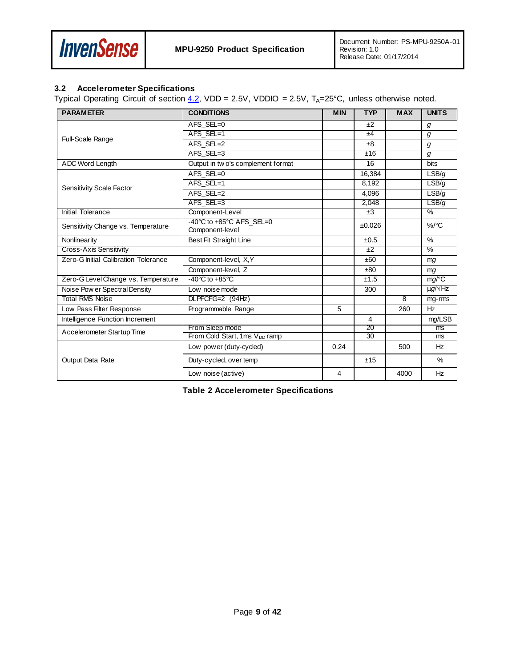

#### <span id="page-8-0"></span>**3.2 Accelerometer Specifications**

Typical Operating Circuit of section  $4.2$ , VDD = 2.5V, VDDIO = 2.5V, T<sub>A</sub>=25°C, unless otherwise noted.

| <b>PARAMETER</b>                     | <b>CONDITIONS</b>                           | <b>MIN</b> | <b>TYP</b>      | <b>MAX</b>     | <b>UNITS</b>        |
|--------------------------------------|---------------------------------------------|------------|-----------------|----------------|---------------------|
|                                      | AFS SEL=0                                   |            | ±2              |                | g                   |
| Full-Scale Range                     | AFS SEL=1                                   |            | ±4              |                | g                   |
|                                      | AFS_SEL=2                                   |            | ±8              |                | g                   |
|                                      | AFS SEL=3                                   |            | ±16             |                | g                   |
| ADC Word Length                      | Output in two's complement format           |            | 16              |                | bits                |
|                                      | AFS SEL=0                                   |            | 16,384          |                | LSB/g               |
| Sensitivity Scale Factor             | AFS SEL=1                                   |            | 8,192           |                | LSB/q               |
|                                      | AFS SEL=2                                   |            | 4,096           |                | LSB/g               |
|                                      | AFS SEL=3                                   |            | 2.048           |                | LSB/g               |
| Initial Tolerance                    | Component-Level                             |            | $\pm 3$         |                | $\frac{0}{2}$       |
| Sensitivity Change vs. Temperature   | -40°C to +85°C AFS_SEL=0<br>Component-level |            | ±0.026          |                | $\%$ /°C            |
| Nonlinearity                         | Best Fit Straight Line                      |            | ±0.5            |                | $\frac{0}{0}$       |
| Cross-Axis Sensitivity               |                                             |            | ±2              |                | $\frac{0}{2}$       |
| Zero-G Initial Calibration Tolerance | Component-level, X,Y                        |            | ±60             |                | mg                  |
|                                      | Component-level, Z                          |            | ±80             |                | mq                  |
| Zero-G Level Change vs. Temperature  | $-40^{\circ}$ C to $+85^{\circ}$ C          |            | ±1.5            |                | mg/°C               |
| Noise Pow er Spectral Density        | Low noise mode                              |            | 300             |                | $\mu g / \sqrt{Hz}$ |
| <b>Total RMS Noise</b>               | DLPFCFG=2 (94Hz)                            |            |                 | $\overline{8}$ | mg-rms              |
| Low Pass Filter Response             | Programmable Range                          | 5          |                 | 260            | H <sub>z</sub>      |
| Intelligence Function Increment      |                                             |            | 4               |                | mg/LSB              |
| Accelerometer Startup Time           | From Sleep mode                             |            | 20              |                | ms                  |
|                                      | From Cold Start, 1ms V <sub>DD</sub> ramp   |            | $\overline{30}$ |                | ms                  |
|                                      | Low power (duty-cycled)                     | 0.24       |                 | 500            | Hz                  |
| <b>Output Data Rate</b>              | Duty-cycled, over temp                      |            | ±15             |                | $\%$                |
|                                      | Low noise (active)                          | 4          |                 | 4000           | Hz                  |

**Table 2 Accelerometer Specifications**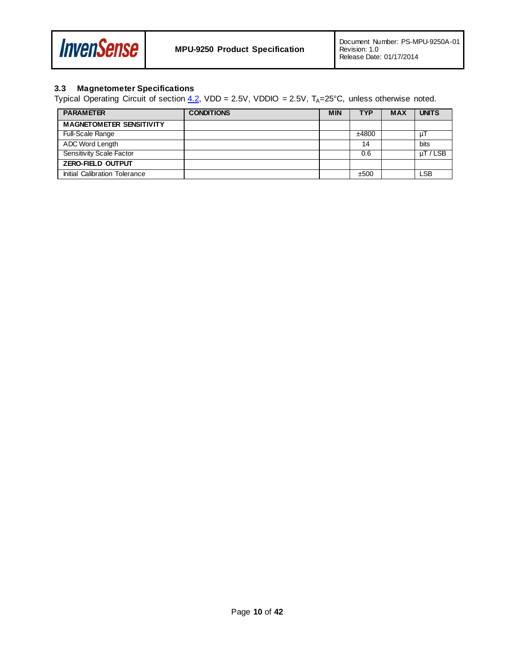

## <span id="page-9-0"></span>**3.3 Magnetometer Specifications**

Typical Operating Circuit of section  $4.2$ , VDD = 2.5V, VDDIO = 2.5V, T<sub>A</sub>=25°C, unless otherwise noted.

| <b>PARAMETER</b>                | <b>CONDITIONS</b> | <b>MIN</b> | <b>TYP</b> | <b>MAX</b> | <b>UNITS</b>  |
|---------------------------------|-------------------|------------|------------|------------|---------------|
| <b>MAGNETOMETER SENSITIVITY</b> |                   |            |            |            |               |
| <b>Full-Scale Range</b>         |                   |            | ±4800      |            | μI            |
| ADC Word Length                 |                   |            | 14         |            | bits          |
| Sensitivity Scale Factor        |                   |            | 0.6        |            | $\mu$ T / LSB |
| <b>ZERO-FIELD OUTPUT</b>        |                   |            |            |            |               |
| Initial Calibration Tolerance   |                   |            | ±500       |            | LSB           |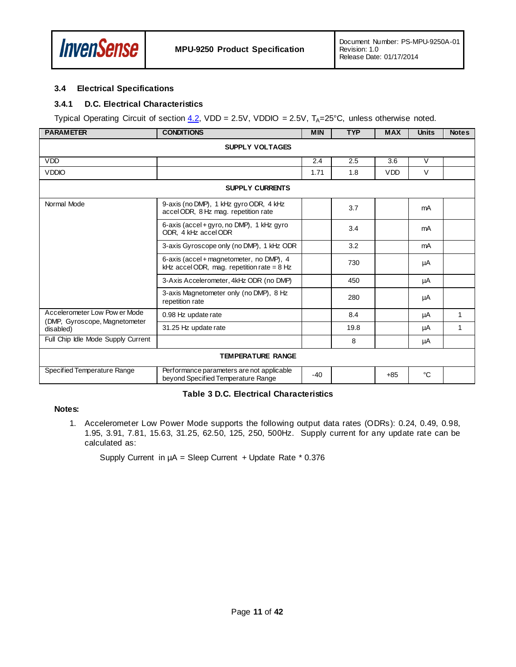

#### <span id="page-10-0"></span>**3.4 Electrical Specifications**

#### **3.4.1 D.C. Electrical Characteristics**

Typical Operating Circuit of section  $4.2$ , VDD = 2.5V, VDDIO = 2.5V, T<sub>A</sub>=25°C, unless otherwise noted.

| <b>PARAMETER</b>                           | <b>CONDITIONS</b>                                                                        | <b>MIN</b> | <b>TYP</b> | <b>MAX</b> | <b>Units</b> | <b>Notes</b> |  |  |
|--------------------------------------------|------------------------------------------------------------------------------------------|------------|------------|------------|--------------|--------------|--|--|
|                                            | <b>SUPPLY VOLTAGES</b>                                                                   |            |            |            |              |              |  |  |
| <b>VDD</b>                                 |                                                                                          | 2.4        | 2.5        | 3.6        | $\vee$       |              |  |  |
| <b>VDDIO</b>                               |                                                                                          | 1.71       | 1.8        | <b>VDD</b> | $\vee$       |              |  |  |
|                                            | <b>SUPPLY CURRENTS</b>                                                                   |            |            |            |              |              |  |  |
| Normal Mode                                | 9-axis (no DMP), 1 kHz gyro ODR, 4 kHz<br>accel ODR, 8 Hz mag. repetition rate           |            | 3.7        |            | mA           |              |  |  |
|                                            | 6-axis (accel + gyro, no DMP), 1 kHz gyro<br>ODR, 4 kHz accel ODR                        |            | 3.4        |            | mA           |              |  |  |
|                                            | 3-axis Gyroscope only (no DMP), 1 kHz ODR                                                |            | 3.2        |            | mA           |              |  |  |
|                                            | 6-axis (accel + magnetometer, no DMP), 4<br>kHz accel ODR, mag. repetition rate = $8$ Hz |            | 730        |            | μA           |              |  |  |
|                                            | 3-Axis Accelerometer, 4kHz ODR (no DMP)                                                  |            | 450        |            | μA           |              |  |  |
|                                            | 3-axis Magnetometer only (no DMP), 8 Hz<br>repetition rate                               |            | 280        |            | μA           |              |  |  |
| Accelerometer Low Pow er Mode              | 0.98 Hz update rate                                                                      |            | 8.4        |            | μA           | 1            |  |  |
| (DMP, Gyroscope, Magnetometer<br>disabled) | 31.25 Hz update rate                                                                     |            | 19.8       |            | μA           | 1            |  |  |
| Full Chip Idle Mode Supply Current         |                                                                                          |            | 8          |            | μA           |              |  |  |
|                                            | <b>TEMPERATURE RANGE</b>                                                                 |            |            |            |              |              |  |  |
| Specified Temperature Range                | Performance parameters are not applicable<br>beyond Specified Temperature Range          | $-40$      |            | $+85$      | °C           |              |  |  |

#### **Table 3 D.C. Electrical Characteristics**

#### **Notes:**

1. Accelerometer Low Power Mode supports the following output data rates (ODRs): 0.24, 0.49, 0.98, 1.95, 3.91, 7.81, 15.63, 31.25, 62.50, 125, 250, 500Hz. Supply current for any update rate can be calculated as:

Supply Current in  $\mu$ A = Sleep Current + Update Rate \* 0.376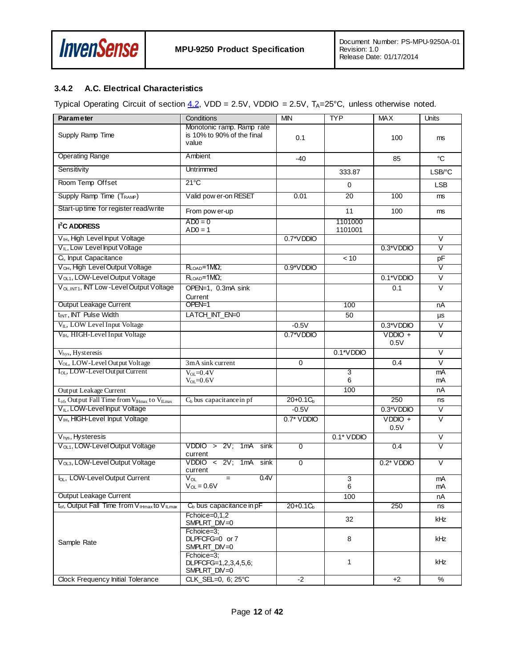

#### **3.4.2 A.C. Electrical Characteristics**

Typical Operating Circuit of section  $4.2$ , VDD = 2.5V, VDDIO = 2.5V, T<sub>A</sub>=25°C, unless otherwise noted.

| <b>Parameter</b>                                                                 | Conditions                                                       | <b>MIN</b>    | <b>TYP</b>         | <b>MAX</b>        | Units                   |
|----------------------------------------------------------------------------------|------------------------------------------------------------------|---------------|--------------------|-------------------|-------------------------|
| Supply Ramp Time                                                                 | Monotonic ramp. Ramp rate<br>is 10% to 90% of the final<br>value | 0.1           |                    | 100               | ms                      |
| <b>Operating Range</b>                                                           | Ambient                                                          | $-40$         |                    | 85                | °C                      |
| Sensitivity                                                                      | Untrimmed                                                        |               | 333.87             |                   | LSB/°C                  |
| Room Temp Offset                                                                 | $21^{\circ}$ C                                                   |               | 0                  |                   | <b>LSB</b>              |
| Supply Ramp Time (T <sub>RAMP</sub> )                                            | Valid pow er-on RESET                                            | 0.01          | 20                 | 100               | ms                      |
| Start-up time for register read/write                                            | From pow er-up                                                   |               | 11                 | 100               | ms                      |
| <b>I<sup>2</sup>C ADDRESS</b>                                                    | $AD0 = 0$<br>$AD0 = 1$                                           |               | 1101000<br>1101001 |                   |                         |
| V <sub>IH</sub> , High Level Input Voltage                                       |                                                                  | 0.7*VDDIO     |                    |                   | $\vee$                  |
| V <sub>IL</sub> , Low Level Input Voltage                                        |                                                                  |               |                    | 0.3*VDDIO         | $\overline{\mathsf{v}}$ |
| C <sub>i</sub> , Input Capacitance                                               |                                                                  |               | < 10               |                   | pF                      |
| V <sub>OH</sub> , High Level Output Voltage                                      | $R_{\text{LOAD}} = 1 M\Omega$ ;                                  | $0.9*VDDIO$   |                    |                   | $\overline{\mathsf{v}}$ |
| V <sub>OL1</sub> , LOW-Level Output Voltage                                      | $R_{LOAD} = 1 M\Omega$ ;                                         |               |                    | 0.1*VDDIO         | $\overline{\vee}$       |
| V <sub>OLINT1</sub> , INT Low - Level Output Voltage                             | OPEN=1, 0.3mA sink<br>Current                                    |               |                    | 0.1               | $\vee$                  |
| Output Leakage Current                                                           | OPEN=1                                                           |               | 100                |                   | nA                      |
| t <sub>INT</sub> , INT Pulse Width                                               | LATCH INT EN=0                                                   |               | 50                 |                   | $\mu s$                 |
| VL, LOW Level Input Voltage                                                      |                                                                  | $-0.5V$       |                    | $0.3*VDDDIO$      | V                       |
| V <sub>IH</sub> , HIGH-Level Input Voltage                                       |                                                                  | 0.7*VDDIO     |                    | $VDDIO +$<br>0.5V | $\overline{\mathsf{v}}$ |
| Vhys, Hysteresis                                                                 |                                                                  |               | 0.1*VDDIO          |                   | $\overline{\vee}$       |
| V <sub>OL</sub> , LOW-Level Output Voltage                                       | 3mA sink current                                                 | $\Omega$      |                    | 0.4               | $\vee$                  |
| I <sub>OL</sub> , LOW-Level Out put Current                                      | $V_{OL} = 0.4V$<br>$V_{OL} = 0.6V$                               |               | 3<br>6             |                   | mA<br>mA                |
| Output Leakage Current                                                           |                                                                  |               | 100                |                   | nA                      |
| $t_{of}$ , Output Fall Time from $V_{I\text{Hmax}}$ to $V_{I\text{Lmax}}$        | $C_b$ bus capacitance in pf                                      | $20+0.1C_{b}$ |                    | 250               | ns                      |
| V <sub>IL</sub> , LOW-Level Input Voltage                                        |                                                                  | $-0.5V$       |                    | 0.3*VDDIO         | $\overline{\mathsf{v}}$ |
| V <sub>IH</sub> , HIGH-Level Input Voltage                                       |                                                                  | $0.7^*$ VDDIO |                    | $VDDIO +$<br>0.5V | $\overline{\vee}$       |
| V <sub>hys</sub> , Hysteresis                                                    |                                                                  |               | $0.1^*$ VDDIO      |                   | V                       |
| V <sub>OL1</sub> , LOW-Level Output Voltage                                      | $VDDIO > 2V$ ; 1mA sink<br>current                               | $\Omega$      |                    | 0.4               | $\overline{\mathsf{v}}$ |
| V <sub>OL3</sub> , LOW-Level Output Voltage                                      | VDDIO < 2V; 1mA sink<br>current                                  | $\Omega$      |                    | $0.2^*$ VDDIO     | V                       |
| lo <sub>L</sub> , LOW-Level Output Current                                       | $V_{OL}$<br>0.4V<br>$=$<br>$V_{OL} = 0.6V$                       |               | 3<br>6             |                   | mA<br>mA                |
| Output Leakage Current                                                           |                                                                  |               | 100                |                   | nA                      |
| t <sub>of</sub> , Output Fall Time from V <sub>IHmax</sub> to V <sub>ILmax</sub> | $C_b$ bus capacitance in $pF$                                    | $20+0.1C_{b}$ |                    | 250               | ns                      |
|                                                                                  | Fchoice=0,1,2<br>SMPLRT_DIV=0                                    |               | 32                 |                   | kHz                     |
| Sample Rate                                                                      | Fchoice=3;<br>DLPFCFG=0 or 7<br>SMPLRT_DIV=0                     |               | 8                  |                   | kHz                     |
|                                                                                  | Fchoice=3:<br>DLPFCFG=1,2,3,4,5,6;<br>SMPLRT_DIV=0               |               | 1                  |                   | kHz                     |
| Clock Frequency Initial Tolerance                                                | CLK_SEL=0, 6; 25°C                                               | $-2$          |                    | $+2$              | $\%$                    |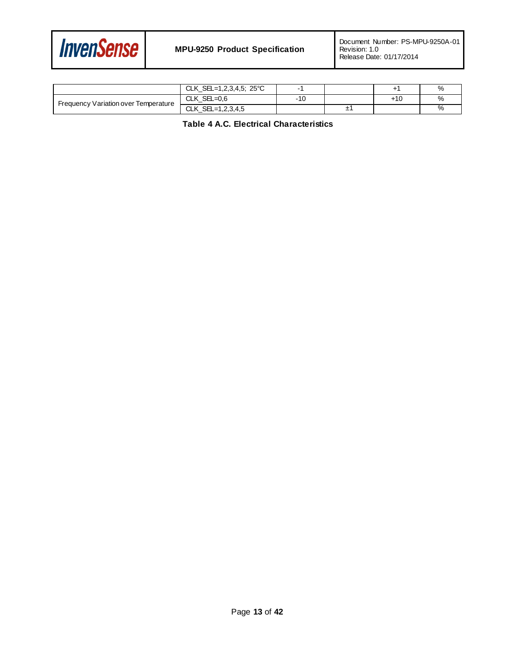

|                                      | CLK_SEL=1,2,3,4,5; 25°C                    |       |    |     |  |
|--------------------------------------|--------------------------------------------|-------|----|-----|--|
| Frequency Variation over Temperature | CLK $SEL=0.6$                              | $-10$ |    | +10 |  |
|                                      | <b>CLK</b><br>$\text{SEL} = 1, 2, 3, 4, 5$ |       | ±. |     |  |

**Table 4 A.C. Electrical Characteristics**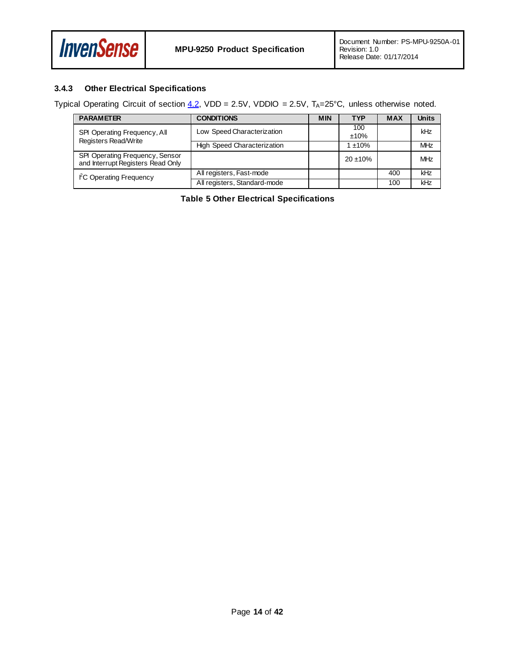

#### **3.4.3 Other Electrical Specifications**

Typical Operating Circuit of section  $4.2$ , VDD = 2.5V, VDDIO = 2.5V, T<sub>A</sub>=25°C, unless otherwise noted.

| <b>PARAMETER</b>                                                     | <b>CONDITIONS</b>                  | <b>MIN</b> | <b>TYP</b>     | <b>MAX</b> | <b>Units</b> |
|----------------------------------------------------------------------|------------------------------------|------------|----------------|------------|--------------|
| <b>SPI Operating Frequency, All</b>                                  | Low Speed Characterization         |            | 100<br>$±10\%$ |            | kHz          |
| Registers Read/Write                                                 | <b>High Speed Characterization</b> |            | $1 + 10%$      |            | <b>MHz</b>   |
| SPI Operating Frequency, Sensor<br>and Interrupt Registers Read Only |                                    |            | $20 \pm 10\%$  |            | MHz          |
| FC Operating Frequency                                               | All registers, Fast-mode           |            |                | 400        | kHz          |
|                                                                      | All registers, Standard-mode       |            |                | 100        | kHz          |

**Table 5 Other Electrical Specifications**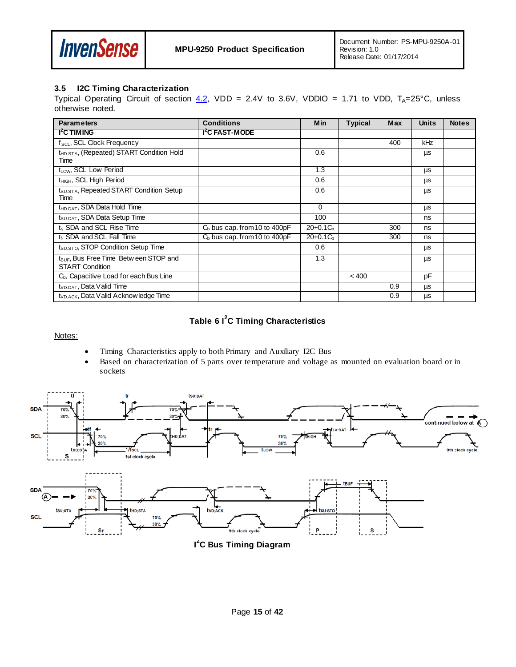

#### <span id="page-14-0"></span>**3.5 I2C Timing Characterization**

Typical Operating Circuit of section  $4.2$ , VDD = 2.4V to 3.6V, VDDIO = 1.71 to VDD, T<sub>A</sub>=25°C, unless otherwise noted.

| <b>Parameters</b>                                                            | <b>Conditions</b>               | <b>Min</b> | <b>Typical</b> | <b>Max</b> | <b>Units</b> | <b>Notes</b> |
|------------------------------------------------------------------------------|---------------------------------|------------|----------------|------------|--------------|--------------|
| <b>I<sup>2</sup>C TIMING</b>                                                 | I <sup>2</sup> C FAST-MODE      |            |                |            |              |              |
| f <sub>SCL</sub> , SCL Clock Frequency                                       |                                 |            |                | 400        | kHz          |              |
| t <sub>HD.STA</sub> , (Repeated) START Condition Hold<br>Time                |                                 | 0.6        |                |            | μs           |              |
| $t_{LOW}$ , SCL Low Period                                                   |                                 | 1.3        |                |            | μs           |              |
| t <sub>HIGH</sub> , SCL High Period                                          |                                 | 0.6        |                |            | μs           |              |
| t <sub>SU.STA</sub> , Repeated START Condition Setup<br>Time                 |                                 | 0.6        |                |            | μs           |              |
| t <sub>HD.DAT</sub> , SDA Data Hold Time                                     |                                 | $\Omega$   |                |            | μs           |              |
| t <sub>SU.DAT</sub> , SDA Data Setup Time                                    |                                 | 100        |                |            | ns           |              |
| t <sub>r</sub> , SDA and SCL Rise Time                                       | $C_b$ bus cap. from 10 to 400pF | $20+0.1Cb$ |                | 300        | ns           |              |
| t <sub>f</sub> , SDA and SCL Fall Time                                       | $Cb$ bus cap. from 10 to 400pF  | $20+0.1Cb$ |                | 300        | ns           |              |
| $t_{\text{SUSTO}}$ , STOP Condition Setup Time                               |                                 | 0.6        |                |            | μs           |              |
| t <sub>BUF</sub> , Bus Free Time Betw een STOP and<br><b>START Condition</b> |                                 | 1.3        |                |            | μs           |              |
| $C_{b}$ , Capacitive Load for each Bus Line                                  |                                 |            | < 400          |            | pF           |              |
| $tVD.DAT$ , Data Valid Time                                                  |                                 |            |                | 0.9        | μs           |              |
| t <sub>VD.ACK</sub> , Data Valid Acknowledge Time                            |                                 |            |                | 0.9        | μs           |              |

## **Table 6 I<sup>2</sup> C Timing Characteristics**

Notes:

- Timing Characteristics apply to both Primary and Auxiliary I2C Bus
- Based on characterization of 5 parts over temperature and voltage as mounted on evaluation board or in sockets



**I 2 C Bus Timing Diagram**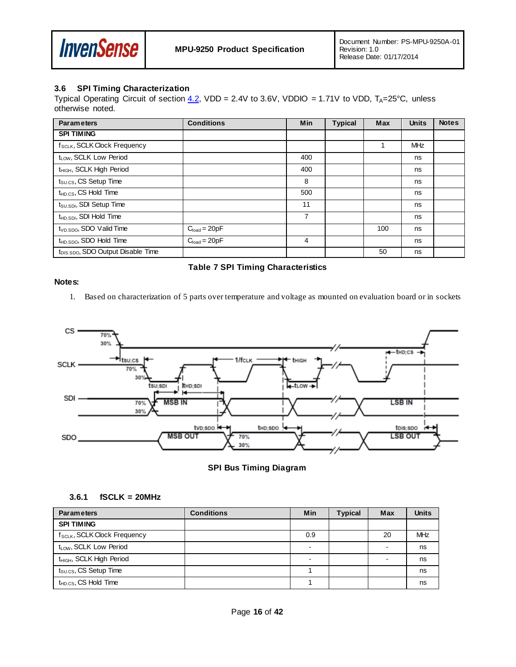

#### <span id="page-15-0"></span>**3.6 SPI Timing Characterization**

Typical Operating Circuit of section  $4.2$ , VDD = 2.4V to 3.6V, VDDIO = 1.71V to VDD, T<sub>A</sub>=25°C, unless otherwise noted.

| <b>Parameters</b>                              | <b>Conditions</b> | <b>Min</b>     | <b>Typical</b> | <b>Max</b> | <b>Units</b> | <b>Notes</b> |
|------------------------------------------------|-------------------|----------------|----------------|------------|--------------|--------------|
| <b>SPI TIMING</b>                              |                   |                |                |            |              |              |
| f <sub>SCLK</sub> , SCLK Clock Frequency       |                   |                |                |            | <b>MHz</b>   |              |
| t <sub>LOW</sub> , SCLK Low Period             |                   | 400            |                |            | ns           |              |
| t <sub>HIGH</sub> , SCLK High Period           |                   | 400            |                |            | ns           |              |
| $t_{\text{SULCS}}$ , CS Setup Time             |                   | 8              |                |            | ns           |              |
| t <sub>HD.CS</sub> , CS Hold Time              |                   | 500            |                |            | ns           |              |
| t <sub>SU.SDI</sub> , SDI Setup Time           |                   | 11             |                |            | ns           |              |
| t <sub>HD.SDI</sub> , SDI Hold Time            |                   | $\overline{7}$ |                |            | ns           |              |
| $tVD.SDO$ , SDO Valid Time                     | $Cload = 20pF$    |                |                | 100        | ns           |              |
| t <sub>HD.SDO</sub> , SDO Hold Time            | $C_{load} = 20pF$ | 4              |                |            | ns           |              |
| t <sub>DIS.SDO</sub> , SDO Output Disable Time |                   |                |                | 50         | ns           |              |

#### **Table 7 SPI Timing Characteristics**

#### **Notes:**

1. Based on characterization of 5 parts over temperature and voltage as mounted on evaluation board or in sockets



**SPI Bus Timing Diagram**

#### **3.6.1 fSCLK = 20MHz**

| <b>Parameters</b>                        | <b>Conditions</b> | Min | <b>Typical</b> | Max                      | <b>Units</b> |
|------------------------------------------|-------------------|-----|----------------|--------------------------|--------------|
| <b>SPI TIMING</b>                        |                   |     |                |                          |              |
| f <sub>SCLK</sub> , SCLK Clock Frequency |                   | 0.9 |                | 20                       | <b>MHz</b>   |
| t <sub>LOW</sub> , SCLK Low Period       |                   |     |                |                          | ns           |
| t <sub>HIGH</sub> , SCLK High Period     |                   |     |                | $\overline{\phantom{a}}$ | ns           |
| $t_{\text{SULCS}}$ , CS Setup Time       |                   |     |                |                          | ns           |
| $t_{HD,CS}$ , CS Hold Time               |                   |     |                |                          | ns           |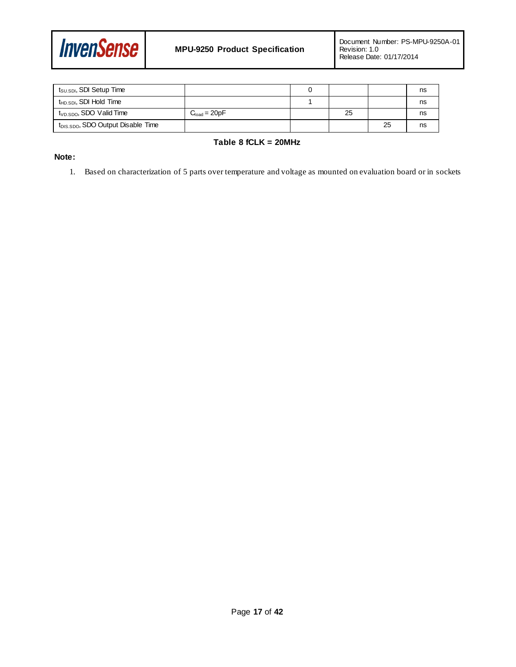

| t <sub>SU.SDI</sub> , SDI Setup Time           |                   |    |    | ns |
|------------------------------------------------|-------------------|----|----|----|
| $t_{\sf HD,SDI}$ , SDI Hold Time               |                   |    |    | ns |
| t <sub>VD.SDO</sub> , SDO Valid Time           | $C_{load} = 20pF$ | 25 |    | ns |
| t <sub>DIS.SDO</sub> , SDO Output Disable Time |                   |    | 25 | ns |

#### **Table 8 fCLK = 20MHz**

#### **Note:**

1. Based on characterization of 5 parts over temperature and voltage as mounted on evaluation board or in sockets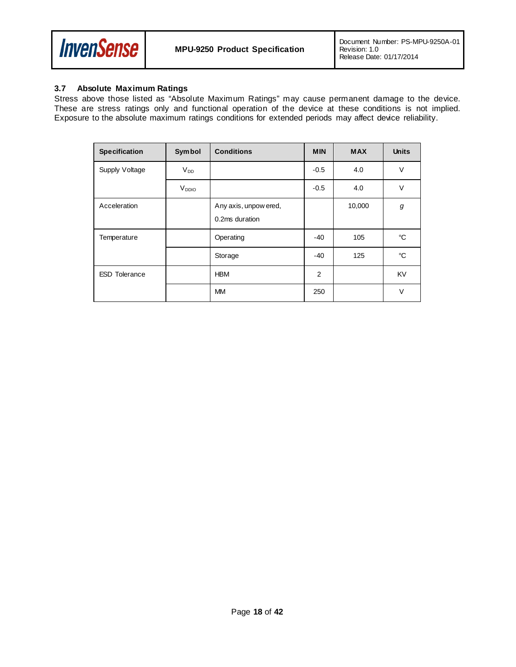

#### <span id="page-17-0"></span>**3.7 Absolute Maximum Ratings**

Stress above those listed as "Absolute Maximum Ratings" may cause permanent damage to the device. These are stress ratings only and functional operation of the device at these conditions is not implied. Exposure to the absolute maximum ratings conditions for extended periods may affect device reliability.

| <b>Specification</b> | <b>Symbol</b>     | <b>Conditions</b>                       | <b>MIN</b>     | <b>MAX</b> | <b>Units</b> |
|----------------------|-------------------|-----------------------------------------|----------------|------------|--------------|
| Supply Voltage       | $V_{DD}$          |                                         | $-0.5$         | 4.0        | $\vee$       |
|                      | V <sub>DDIO</sub> |                                         | $-0.5$         | 4.0        | V            |
| Acceleration         |                   | Any axis, unpow ered,<br>0.2ms duration |                | 10,000     | g            |
| Temperature          |                   | Operating                               | $-40$          | 105        | °C           |
|                      |                   | Storage                                 | $-40$          | 125        | °C           |
| <b>ESD Tolerance</b> |                   | <b>HBM</b>                              | $\overline{2}$ |            | KV           |
|                      |                   | <b>MM</b>                               | 250            |            | $\vee$       |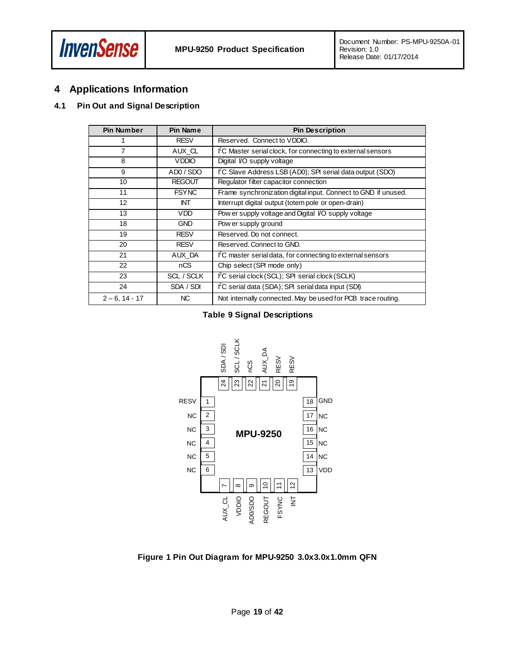

## <span id="page-18-0"></span>**4 Applications Information**

#### <span id="page-18-1"></span>**4.1 Pin Out and Signal Description**

| <b>Pin Number</b> | Pin Name      | <b>Pin Description</b>                                                  |
|-------------------|---------------|-------------------------------------------------------------------------|
|                   | <b>RESV</b>   | Reserved. Connect to VDDIO.                                             |
| 7                 | AUX CL        | $\rm ^{\circ}C$ Master serial clock, for connecting to external sensors |
| 8                 | <b>VDDIO</b>  | Digital VO supply voltage                                               |
| 9                 | ADO / SDO     | $\angle$ C Slave Address LSB (AD0); SPI serial data output (SDO)        |
| 10                | <b>REGOUT</b> | Regulator filter capacitor connection                                   |
| 11                | <b>FSYNC</b>  | Frame synchronization digital input. Connect to GND if unused.          |
| 12                | INT           | Interrupt digital output (totem pole or open-drain)                     |
| 13                | <b>VDD</b>    | Pow er supply voltage and Digital VO supply voltage                     |
| 18                | <b>GND</b>    | Pow er supply ground                                                    |
| 19                | <b>RESV</b>   | Reserved. Do not connect.                                               |
| 20                | <b>RESV</b>   | Reserved, Connect to GND.                                               |
| 21                | AUX DA        | FC master serial data, for connecting to external sensors               |
| 22                | nCS           | Chip select (SPI mode only)                                             |
| 23                | SCL / SCLK    | FC serial clock (SCL); SPI serial clock (SCLK)                          |
| 24                | SDA / SDI     | I <sup>2</sup> C serial data (SDA); SPI serial data input (SDI)         |
| $2 - 6$ , 14 - 17 | NC.           | Not internally connected. May be used for PCB trace routing.            |

### **Table 9 Signal Descriptions**



**Figure 1 Pin Out Diagram for MPU-9250 3.0x3.0x1.0mm QFN**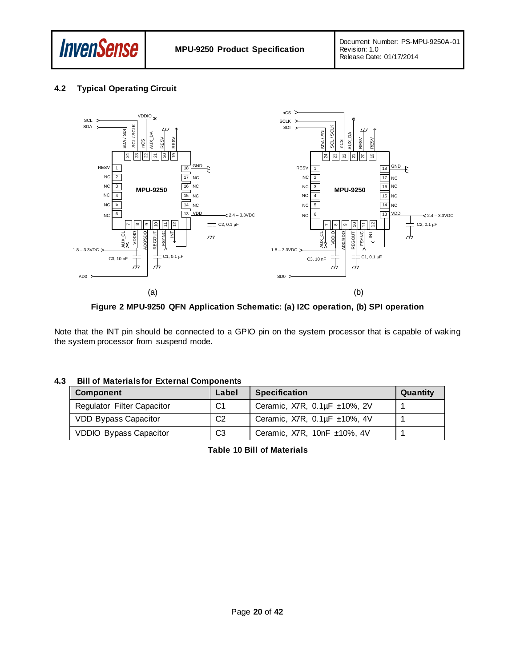

#### <span id="page-19-0"></span>**4.2 Typical Operating Circuit**



**Figure 2 MPU-9250 QFN Application Schematic: (a) I2C operation, (b) SPI operation**

Note that the INT pin should be connected to a GPIO pin on the system processor that is capable of waking the system processor from suspend mode.

#### <span id="page-19-1"></span>**4.3 Bill of Materials for External Components**

| <b>Component</b>                  | Label          | <b>Specification</b>                        | Quantity |
|-----------------------------------|----------------|---------------------------------------------|----------|
| <b>Regulator Filter Capacitor</b> | C1             | Ceramic, X7R, 0.1µF ±10%, 2V                |          |
| <b>VDD Bypass Capacitor</b>       | C <sub>2</sub> | Ceramic, $X7R$ , $0.1\mu F \pm 10\%$ , $4V$ |          |
| <b>VDDIO Bypass Capacitor</b>     | C <sub>3</sub> | Ceramic, $X7R$ , $10nF \pm 10\%$ , $4V$     |          |

**Table 10 Bill of Materials**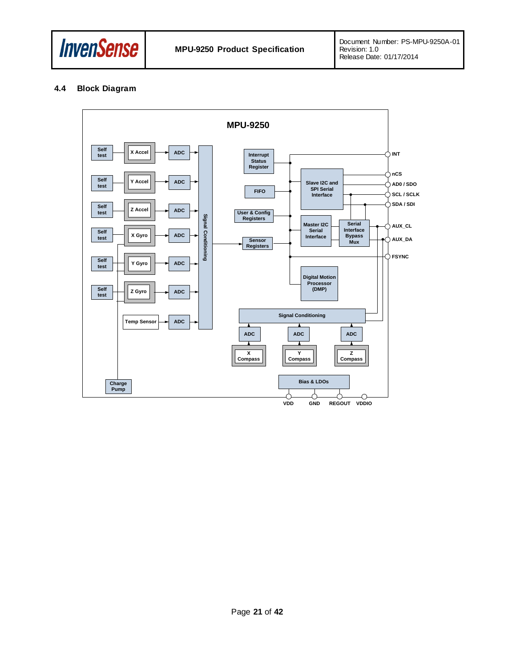

#### <span id="page-20-0"></span>**4.4 Block Diagram**

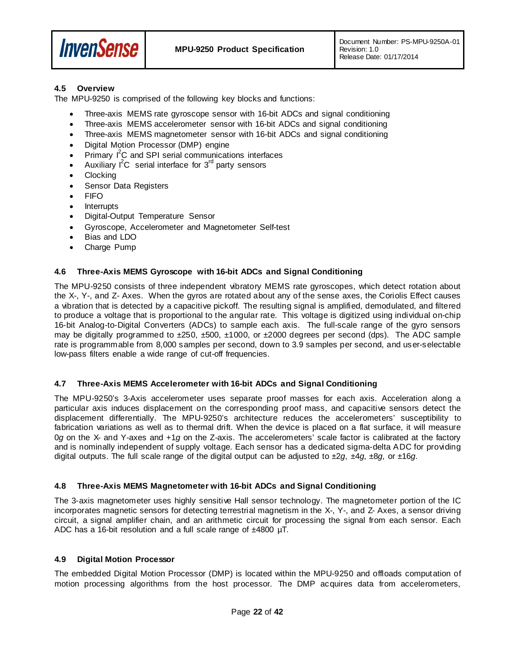

#### <span id="page-21-0"></span>**4.5 Overview**

The MPU-9250 is comprised of the following key blocks and functions:

- Three-axis MEMS rate gyroscope sensor with 16-bit ADCs and signal conditioning
- Three-axis MEMS accelerometer sensor with 16-bit ADCs and signal conditioning
- Three-axis MEMS magnetometer sensor with 16-bit ADCs and signal conditioning
- Digital Motion Processor (DMP) engine
- $\bullet$  Primary  $I^2C$  and SPI serial communications interfaces
- Auxiliary  $I^2C$  serial interface for  $3^{rd}$  party sensors
- **Clocking**
- Sensor Data Registers
- FIFO
- **Interrupts**
- Digital-Output Temperature Sensor
- Gyroscope, Accelerometer and Magnetometer Self-test
- Bias and LDO
- Charge Pump

#### <span id="page-21-1"></span>**4.6 Three-Axis MEMS Gyroscope with 16-bit ADCs and Signal Conditioning**

The MPU-9250 consists of three independent vibratory MEMS rate gyroscopes, which detect rotation about the X-, Y-, and Z- Axes. When the gyros are rotated about any of the sense axes, the Coriolis Effect causes a vibration that is detected by a capacitive pickoff. The resulting signal is amplified, demodulated, and filtered to produce a voltage that is proportional to the angular rate. This voltage is digitized using individual on-chip 16-bit Analog-to-Digital Converters (ADCs) to sample each axis. The full-scale range of the gyro sensors may be digitally programmed to  $\pm 250$ ,  $\pm 500$ ,  $\pm 1000$ , or  $\pm 2000$  degrees per second (dps). The ADC sample rate is programmable from 8,000 samples per second, down to 3.9 samples per second, and user-selectable low-pass filters enable a wide range of cut-off frequencies.

#### <span id="page-21-2"></span>**4.7 Three-Axis MEMS Accelerometer with 16-bit ADCs and Signal Conditioning**

The MPU-9250's 3-Axis accelerometer uses separate proof masses for each axis. Acceleration along a particular axis induces displacement on the corresponding proof mass, and capacitive sensors detect the displacement differentially. The MPU-9250's architecture reduces the accelerometers' susceptibility to fabrication variations as well as to thermal drift. When the device is placed on a flat surface, it will measure 0*g* on the X- and Y-axes and +1*g* on the Z-axis. The accelerometers' scale factor is calibrated at the factory and is nominally independent of supply voltage. Each sensor has a dedicated sigma-delta ADC for providing digital outputs. The full scale range of the digital output can be adjusted to ±2*g*, ±4*g*, ±8*g*, or ±16*g*.

#### <span id="page-21-3"></span>**4.8 Three-Axis MEMS Magnetometer with 16-bit ADCs and Signal Conditioning**

The 3-axis magnetometer uses highly sensitive Hall sensor technology. The magnetometer portion of the IC incorporates magnetic sensors for detecting terrestrial magnetism in the X-, Y-, and Z- Axes, a sensor driving circuit, a signal amplifier chain, and an arithmetic circuit for processing the signal from each sensor. Each ADC has a 16-bit resolution and a full scale range of  $\pm 4800 \mu T$ .

#### <span id="page-21-4"></span>**4.9 Digital Motion Processor**

The embedded Digital Motion Processor (DMP) is located within the MPU-9250 and offloads computation of motion processing algorithms from the host processor. The DMP acquires data from accelerometers,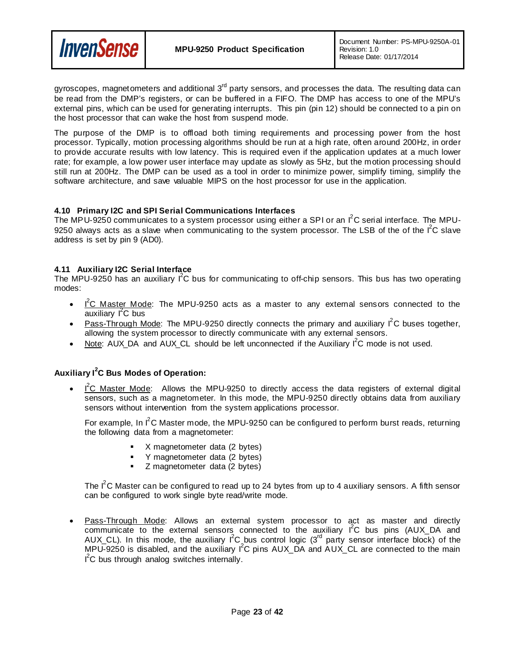

gyroscopes, magnetometers and additional 3<sup>rd</sup> party sensors, and processes the data. The resulting data can be read from the DMP's registers, or can be buffered in a FIFO. The DMP has access to one of the MPU's external pins, which can be used for generating interrupts. This pin (pin 12) should be connected to a pin on the host processor that can wake the host from suspend mode.

The purpose of the DMP is to offload both timing requirements and processing power from the host processor. Typically, motion processing algorithms should be run at a high rate, often around 200Hz, in order to provide accurate results with low latency. This is required even if the application updates at a much lower rate; for example, a low power user interface may update as slowly as 5Hz, but the motion processing should still run at 200Hz. The DMP can be used as a tool in order to minimize power, simplify timing, simplify the software architecture, and save valuable MIPS on the host processor for use in the application.

#### <span id="page-22-0"></span>**4.10 Primary I2C and SPI Serial Communications Interfaces**

The MPU-9250 communicates to a system processor using either a SPI or an I<sup>2</sup>C serial interface. The MPU-9250 always acts as a slave when communicating to the system processor. The LSB of the of the  $I<sup>2</sup>C$  slave address is set by pin 9 (AD0).

#### <span id="page-22-1"></span>**4.11 Auxiliary I2C Serial Interface**

The MPU-9250 has an auxiliary  $1^2$ C bus for communicating to off-chip sensors. This bus has two operating modes:

- $I^2C$  Master Mode: The MPU-9250 acts as a master to any external sensors connected to the auxiliary I<sup>2</sup>C bus
- Pass-Through Mode: The MPU-9250 directly connects the primary and auxiliary  $I^2C$  buses together, allowing the system processor to directly communicate with any external sensors.
- Note: AUX\_DA and AUX\_CL should be left unconnected if the Auxiliary  $I^2C$  mode is not used.

## **Auxiliary I<sup>2</sup> C Bus Modes of Operation:**

•  $I^2C$  Master Mode: Allows the MPU-9250 to directly access the data registers of external digital sensors, such as a magnetometer. In this mode, the MPU-9250 directly obtains data from auxiliary sensors without intervention from the system applications processor.

For example, In  $I^2C$  Master mode, the MPU-9250 can be configured to perform burst reads, returning the following data from a magnetometer:

- X magnetometer data (2 bytes)
- Y magnetometer data (2 bytes)
- **Z** magnetometer data (2 bytes)

The  $I^2C$  Master can be configured to read up to 24 bytes from up to 4 auxiliary sensors. A fifth sensor can be configured to work single byte read/write mode.

Pass-Through Mode: Allows an external system processor to act as master and directly communicate to the external sensors connected to the auxiliary  $I^2C$  bus pins (AUX\_DA and AUX\_CL). In this mode, the auxiliary  $I^2C$  bus control logic (3<sup>rd</sup> party sensor interface block) of the MPU-9250 is disabled, and the auxiliary  $I^2C$  pins AUX\_DA and AUX\_CL are connected to the main I<sup>2</sup>C bus through analog switches internally.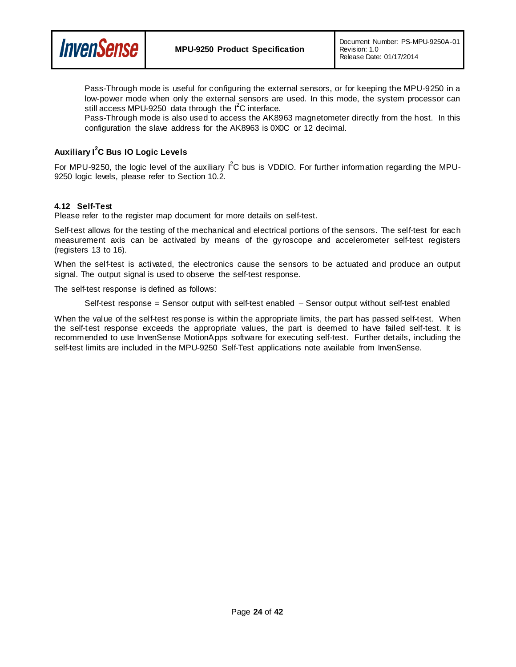

Pass-Through mode is useful for configuring the external sensors, or for keeping the MPU-9250 in a low-power mode when only the external sensors are used. In this mode, the system processor can still access MPU-9250 data through the  $I^2C$  interface.

Pass-Through mode is also used to access the AK8963 magnetometer directly from the host. In this configuration the slave address for the AK8963 is 0X0C or 12 decimal.

## **Auxiliary I<sup>2</sup> C Bus IO Logic Levels**

**InvenSense** 

For MPU-9250, the logic level of the auxiliary  $I^2C$  bus is VDDIO. For further information regarding the MPU-9250 logic levels, please refer to Section 10.2.

#### <span id="page-23-0"></span>**4.12 Self-Test**

Please refer to the register map document for more details on self-test.

Self-test allows for the testing of the mechanical and electrical portions of the sensors. The self-test for each measurement axis can be activated by means of the gyroscope and accelerometer self-test registers (registers 13 to 16).

When the self-test is activated, the electronics cause the sensors to be actuated and produce an output signal. The output signal is used to observe the self-test response.

The self-test response is defined as follows:

Self-test response = Sensor output with self-test enabled – Sensor output without self-test enabled

When the value of the self-test response is within the appropriate limits, the part has passed self-test. When the self-test response exceeds the appropriate values, the part is deemed to have failed self-test. It is recommended to use InvenSense MotionApps software for executing self-test. Further details, including the self-test limits are included in the MPU-9250 Self-Test applications note available from InvenSense.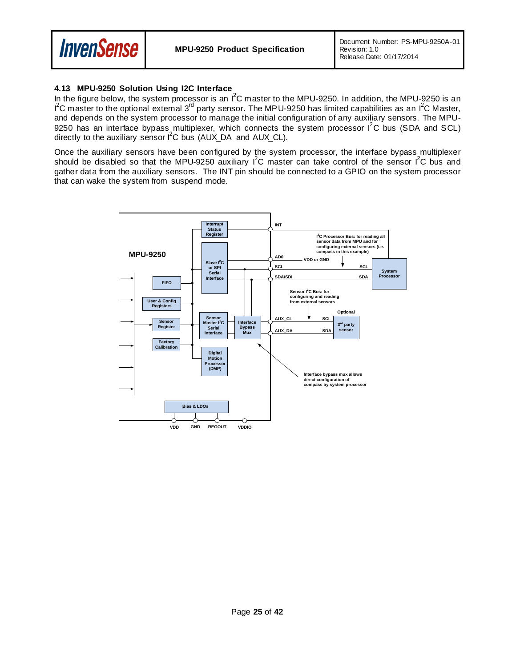

#### <span id="page-24-0"></span>**4.13 MPU-9250 Solution Using I2C Interface**

In the figure below, the system processor is an I<sup>2</sup>C master to the MPU-9250. In addition, the MPU-9250 is an I<sup>2</sup>C master to the optional external 3<sup>rd</sup> party sensor. The MPU-9250 has limited capabilities as an I<sup>2</sup>C Master, and depends on the system processor to manage the initial configuration of any auxiliary sensors. The MPU-9250 has an interface bypass multiplexer, which connects the system processor  $\mathsf{I}^2\mathsf{C}$  bus (SDA and SCL) directly to the auxiliary sensor  $I^2C$  bus (AUX\_DA and AUX\_CL).

Once the auxiliary sensors have been configured by the system processor, the interface bypass multiplexer should be disabled so that the MPU-9250 auxiliary  $I^2C$  master can take control of the sensor  $I^2C$  bus and gather data from the auxiliary sensors. The INT pin should be connected to a GPIO on the system processor that can wake the system from suspend mode.

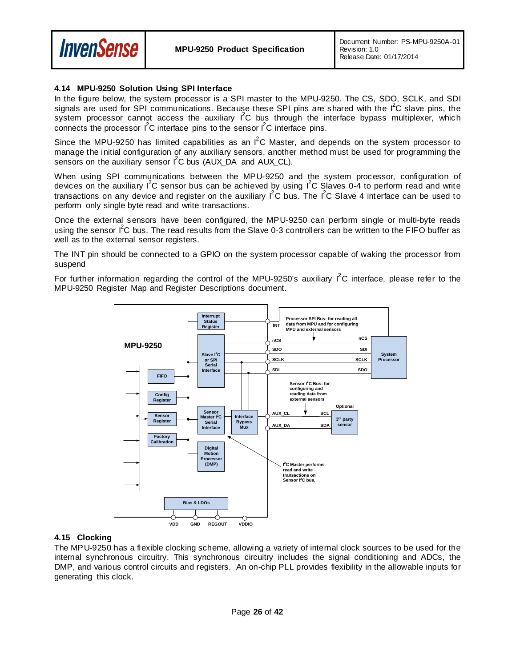

#### <span id="page-25-0"></span>**4.14 MPU-9250 Solution Using SPI Interface**

In the figure below, the system processor is a SPI master to the MPU-9250. The CS, SDO, SCLK, and SDI signals are used for SPI communications. Because these SPI pins are shared with the I<sup>2</sup>C slave pins, the system processor cannot access the auxiliary I<sup>2</sup>C bus through the interface bypass multiplexer, which connects the processor  $1^2C$  interface pins to the sensor  $1^2C$  interface pins.

Since the MPU-9250 has limited capabilities as an  $I^2C$  Master, and depends on the system processor to manage the initial configuration of any auxiliary sensors, another method must be used for programming the sensors on the auxiliary sensor  $I^2C$  bus (AUX\_DA and AUX\_CL).

When using SPI communications between the MPU-9250 and the system processor, configuration of devices on the auxiliary I<sup>2</sup>C sensor bus can be achieved by using I<sup>2</sup>C Slaves 0-4 to perform read and write transactions on any device and register on the auxiliary  $I^2C$  bus. The  $I^2C$  Slave 4 interface can be used to perform only single byte read and write transactions.

Once the external sensors have been configured, the MPU-9250 can perform single or multi-byte reads using the sensor I<sup>2</sup>C bus. The read results from the Slave 0-3 controllers can be written to the FIFO buffer as well as to the external sensor registers.

The INT pin should be connected to a GPIO on the system processor capable of waking the processor from suspend

For further information regarding the control of the MPU-9250's auxiliary  $I^2C$  interface, please refer to the MPU-9250 Register Map and Register Descriptions document.



#### <span id="page-25-1"></span>**4.15 Clocking**

The MPU-9250 has a flexible clocking scheme, allowing a variety of internal clock sources to be used for the internal synchronous circuitry. This synchronous circuitry includes the signal conditioning and ADCs, the DMP, and various control circuits and registers. An on-chip PLL provides flexibility in the allowable inputs for generating this clock.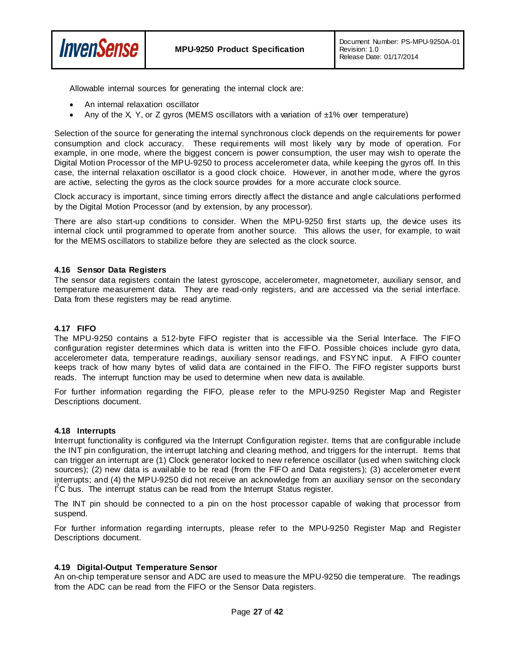



Allowable internal sources for generating the internal clock are:

- An internal relaxation oscillator
- Any of the X, Y, or Z gyros (MEMS oscillators with a variation of  $±1\%$  over temperature)

Selection of the source for generating the internal synchronous clock depends on the requirements for power consumption and clock accuracy. These requirements will most likely vary by mode of operation. For example, in one mode, where the biggest concern is power consumption, the user may wish to operate the Digital Motion Processor of the MPU-9250 to process accelerometer data, while keeping the gyros off. In this case, the internal relaxation oscillator is a good clock choice. However, in another mode, where the gyros are active, selecting the gyros as the clock source provides for a more accurate clock source.

Clock accuracy is important, since timing errors directly affect the distance and angle calculations performed by the Digital Motion Processor (and by extension, by any processor).

There are also start-up conditions to consider. When the MPU-9250 first starts up, the device uses its internal clock until programmed to operate from another source. This allows the user, for example, to wait for the MEMS oscillators to stabilize before they are selected as the clock source.

#### <span id="page-26-0"></span>**4.16 Sensor Data Registers**

The sensor data registers contain the latest gyroscope, accelerometer, magnetometer, auxiliary sensor, and temperature measurement data. They are read-only registers, and are accessed via the serial interface. Data from these registers may be read anytime.

#### <span id="page-26-1"></span>**4.17 FIFO**

The MPU-9250 contains a 512-byte FIFO register that is accessible via the Serial Interface. The FIFO configuration register determines which data is written into the FIFO. Possible choices include gyro data, accelerometer data, temperature readings, auxiliary sensor readings, and FSYNC input. A FIFO counter keeps track of how many bytes of valid data are contained in the FIFO. The FIFO register supports burst reads. The interrupt function may be used to determine when new data is available.

For further information regarding the FIFO, please refer to the MPU-9250 Register Map and Register Descriptions document.

#### <span id="page-26-2"></span>**4.18 Interrupts**

Interrupt functionality is configured via the Interrupt Configuration register. Items that are configurable include the INT pin configuration, the interrupt latching and clearing method, and triggers for the interrupt. Items that can trigger an interrupt are (1) Clock generator locked to new reference oscillator (used when switching clock sources); (2) new data is available to be read (from the FIFO and Data registers); (3) accelerometer event interrupts; and (4) the MPU-9250 did not receive an acknowledge from an auxiliary sensor on the secondary I<sup>2</sup>C bus. The interrupt status can be read from the Interrupt Status register.

The INT pin should be connected to a pin on the host processor capable of waking that processor from suspend.

For further information regarding interrupts, please refer to the MPU-9250 Register Map and Register Descriptions document.

#### <span id="page-26-3"></span>**4.19 Digital-Output Temperature Sensor**

An on-chip temperature sensor and ADC are used to measure the MPU-9250 die temperature. The readings from the ADC can be read from the FIFO or the Sensor Data registers.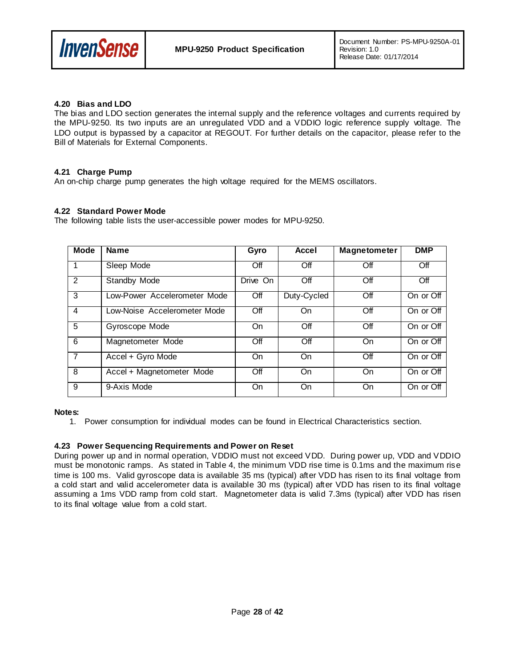

#### <span id="page-27-0"></span>**4.20 Bias and LDO**

The bias and LDO section generates the internal supply and the reference voltages and currents required by the MPU-9250. Its two inputs are an unregulated VDD and a VDDIO logic reference supply voltage. The LDO output is bypassed by a capacitor at REGOUT. For further details on the capacitor, please refer to the Bill of Materials for External Components.

#### <span id="page-27-1"></span>**4.21 Charge Pump**

An on-chip charge pump generates the high voltage required for the MEMS oscillators.

#### <span id="page-27-2"></span>**4.22 Standard Power Mode**

The following table lists the user-accessible power modes for MPU-9250.

| <b>Mode</b>    | <b>Name</b>                  | Gyro      | Accel       | <b>Magnetometer</b> | <b>DMP</b> |
|----------------|------------------------------|-----------|-------------|---------------------|------------|
| $\overline{1}$ | Sleep Mode                   | Off       | Off         | Off                 | Off        |
| 2              | Standby Mode                 | Drive On  | Off         | Off                 | Off        |
| 3              | Low-Power Accelerometer Mode | Off       | Duty-Cycled | Off                 | On or Off  |
| $\overline{4}$ | Low-Noise Accelerometer Mode | Off       | On          | Off                 | On or Off  |
| 5              | Gyroscope Mode               | <b>On</b> | Off         | Off                 | On or Off  |
| 6              | Magnetometer Mode            | Off       | Off         | On                  | On or Off  |
| $\overline{7}$ | Accel + Gyro Mode            | On.       | On          | Off                 | On or Off  |
| 8              | Accel + Magnetometer Mode    | Off       | On          | On                  | On or Off  |
| 9              | 9-Axis Mode                  | On.       | On          | On                  | On or Off  |

#### **Notes:**

1. Power consumption for individual modes can be found in Electrical Characteristics section.

#### <span id="page-27-3"></span>**4.23 Power Sequencing Requirements and Power on Reset**

During power up and in normal operation, VDDIO must not exceed VDD. During power up, VDD and VDDIO must be monotonic ramps. As stated in Table 4, the minimum VDD rise time is 0.1ms and the maximum rise time is 100 ms. Valid gyroscope data is available 35 ms (typical) after VDD has risen to its final voltage from a cold start and valid accelerometer data is available 30 ms (typical) after VDD has risen to its final voltage assuming a 1ms VDD ramp from cold start. Magnetometer data is valid 7.3ms (typical) after VDD has risen to its final voltage value from a cold start.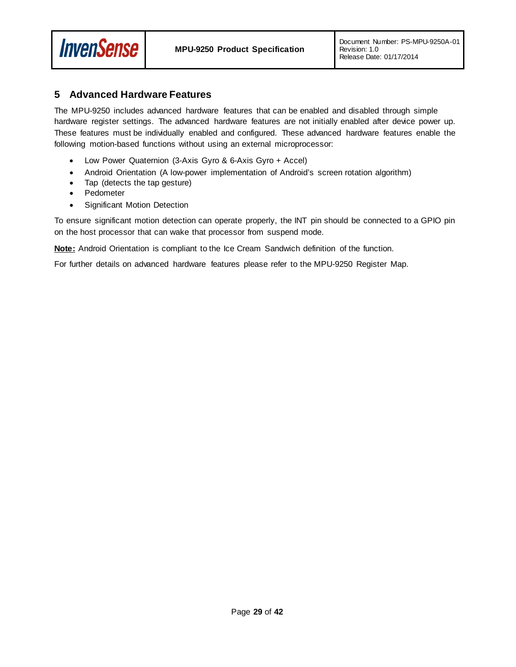

## <span id="page-28-0"></span>**5 Advanced Hardware Features**

The MPU-9250 includes advanced hardware features that can be enabled and disabled through simple hardware register settings. The advanced hardware features are not initially enabled after device power up. These features must be individually enabled and configured. These advanced hardware features enable the following motion-based functions without using an external microprocessor:

- Low Power Quaternion (3-Axis Gyro & 6-Axis Gyro + Accel)
- Android Orientation (A low-power implementation of Android's screen rotation algorithm)
- Tap (detects the tap gesture)
- Pedometer
- Significant Motion Detection

To ensure significant motion detection can operate properly, the INT pin should be connected to a GPIO pin on the host processor that can wake that processor from suspend mode.

**Note:** Android Orientation is compliant to the Ice Cream Sandwich definition of the function.

For further details on advanced hardware features please refer to the MPU-9250 Register Map.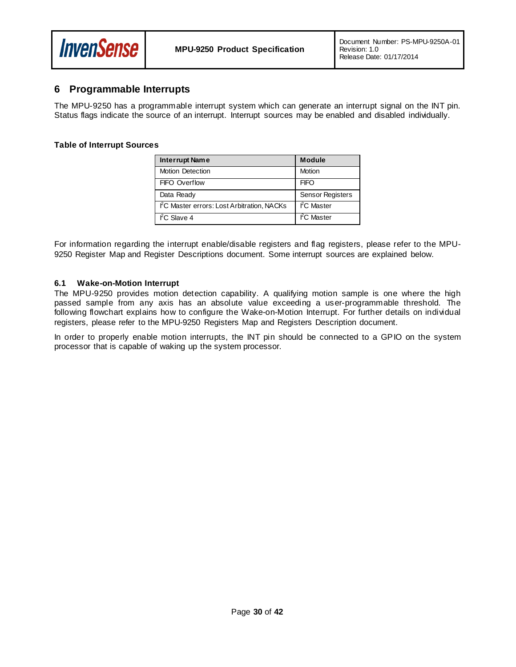

## <span id="page-29-0"></span>**6 Programmable Interrupts**

The MPU-9250 has a programmable interrupt system which can generate an interrupt signal on the INT pin. Status flags indicate the source of an interrupt. Interrupt sources may be enabled and disabled individually.

#### **Table of Interrupt Sources**

| <b>Interrupt Name</b>                                   | <b>Module</b>           |
|---------------------------------------------------------|-------------------------|
| <b>Motion Detection</b>                                 | Motion                  |
| FIFO Overflow                                           | <b>FIFO</b>             |
| Data Ready                                              | <b>Sensor Registers</b> |
| I <sup>2</sup> C Master errors: Lost Arbitration, NACKs | I <sup>2</sup> C Master |
| $\mathsf{f}^2\mathsf{C}$ Slave 4                        | I <sup>2</sup> C Master |

For information regarding the interrupt enable/disable registers and flag registers, please refer to the MPU-9250 Register Map and Register Descriptions document. Some interrupt sources are explained below.

#### <span id="page-29-1"></span>**6.1 Wake-on-Motion Interrupt**

The MPU-9250 provides motion detection capability. A qualifying motion sample is one where the high passed sample from any axis has an absolute value exceeding a user-programmable threshold. The following flowchart explains how to configure the Wake-on-Motion Interrupt. For further details on individual registers, please refer to the MPU-9250 Registers Map and Registers Description document.

In order to properly enable motion interrupts, the INT pin should be connected to a GPIO on the system processor that is capable of waking up the system processor.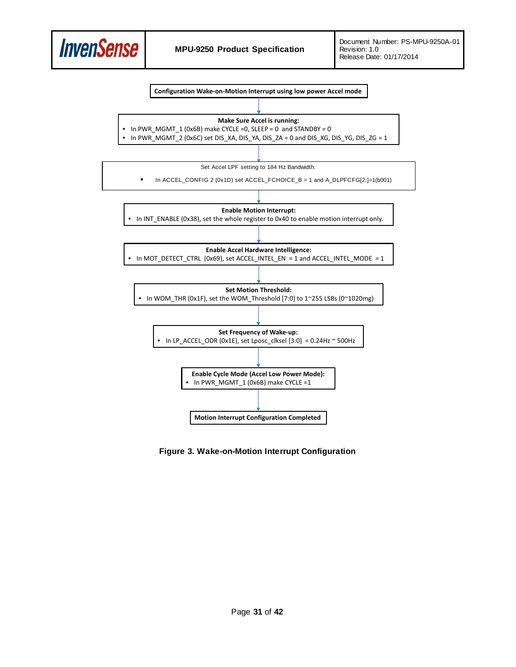



**Figure 3. Wake-on-Motion Interrupt Configuration**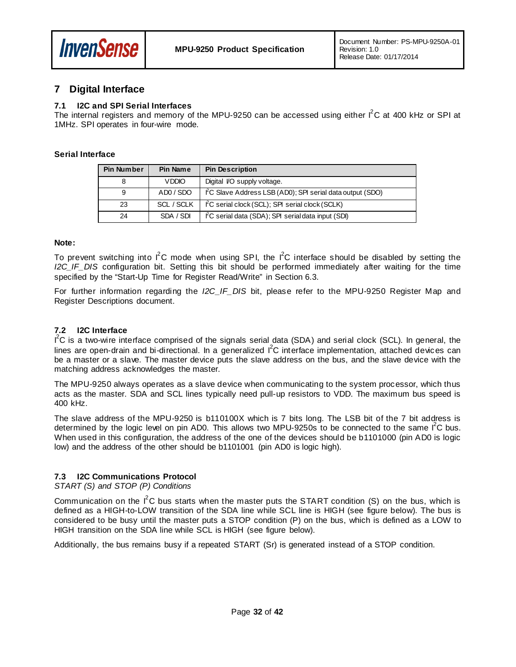

## <span id="page-31-0"></span>**7 Digital Interface**

#### <span id="page-31-1"></span>**7.1 I2C and SPI Serial Interfaces**

The internal registers and memory of the MPU-9250 can be accessed using either  $I^2C$  at 400 kHz or SPI at 1MHz. SPI operates in four-wire mode.

#### **Serial Interface**

| <b>Pin Number</b> | Pin Name     | <b>Pin Description</b>                                   |
|-------------------|--------------|----------------------------------------------------------|
| 8                 | <b>VDDIO</b> | Digital VO supply voltage.                               |
| 9                 | ADO / SDO    | FC Slave Address LSB (AD0); SPI serial data output (SDO) |
| 23                | SCL / SCLK   | FC serial clock (SCL); SPI serial clock (SCLK)           |
| 24                | SDA / SDI    | FC serial data (SDA); SPI serial data input (SDI)        |

#### **Note:**

To prevent switching into  $I^2C$  mode when using SPI, the  $I^2C$  interface should be disabled by setting the *I2C\_IF\_DIS* configuration bit. Setting this bit should be performed immediately after waiting for the time specified by the "Start-Up Time for Register Read/Write" in Section 6.3.

For further information regarding the *I2C\_IF\_DIS* bit, please refer to the MPU-9250 Register Map and Register Descriptions document.

#### <span id="page-31-2"></span>**7.2 I2C Interface**

 $I^2C$  is a two-wire interface comprised of the signals serial data (SDA) and serial clock (SCL). In general, the lines are open-drain and bi-directional. In a generalized  $I^2C$  interface implementation, attached devices can be a master or a slave. The master device puts the slave address on the bus, and the slave device with the matching address acknowledges the master.

The MPU-9250 always operates as a slave device when communicating to the system processor, which thus acts as the master. SDA and SCL lines typically need pull-up resistors to VDD. The maximum bus speed is 400 kHz.

The slave address of the MPU-9250 is b110100X which is 7 bits long. The LSB bit of the 7 bit address is determined by the logic level on pin AD0. This allows two MPU-9250s to be connected to the same  $I^2C$  bus. When used in this configuration, the address of the one of the devices should be b1101000 (pin AD0 is logic low) and the address of the other should be b1101001 (pin AD0 is logic high).

#### <span id="page-31-3"></span>**7.3 I2C Communications Protocol**

#### *START (S) and STOP (P) Conditions*

Communication on the  $I^2C$  bus starts when the master puts the START condition (S) on the bus, which is defined as a HIGH-to-LOW transition of the SDA line while SCL line is HIGH (see figure below). The bus is considered to be busy until the master puts a STOP condition (P) on the bus, which is defined as a LOW to HIGH transition on the SDA line while SCL is HIGH (see figure below).

Additionally, the bus remains busy if a repeated START (Sr) is generated instead of a STOP condition.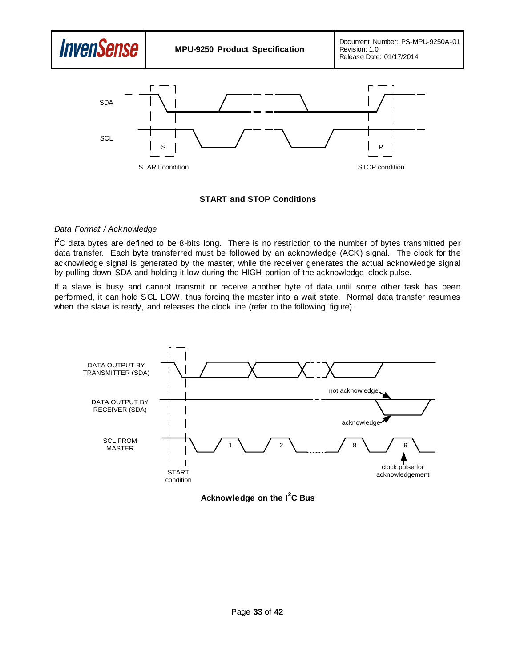

#### **START and STOP Conditions**

#### *Data Format / Acknowledge*

 $I^2C$  data bytes are defined to be 8-bits long. There is no restriction to the number of bytes transmitted per data transfer. Each byte transferred must be followed by an acknowledge (ACK) signal. The clock for the acknowledge signal is generated by the master, while the receiver generates the actual acknowledge signal by pulling down SDA and holding it low during the HIGH portion of the acknowledge clock pulse.

If a slave is busy and cannot transmit or receive another byte of data until some other task has been performed, it can hold SCL LOW, thus forcing the master into a wait state. Normal data transfer resumes when the slave is ready, and releases the clock line (refer to the following figure).



**Acknowledge on the I<sup>2</sup> C Bus**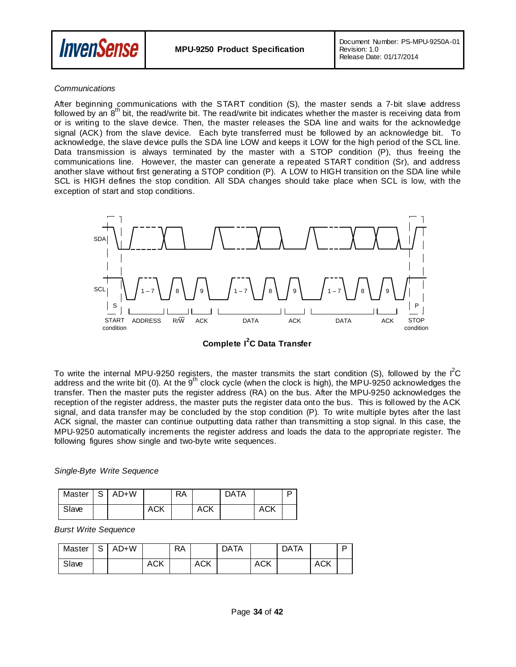

#### *Communications*

After beginning communications with the START condition (S), the master sends a 7-bit slave address followed by an  $8<sup>th</sup>$  bit, the read/write bit. The read/write bit indicates whether the master is receiving data from or is writing to the slave device. Then, the master releases the SDA line and waits for the acknowledge signal (ACK) from the slave device. Each byte transferred must be followed by an acknowledge bit. To acknowledge, the slave device pulls the SDA line LOW and keeps it LOW for the high period of the SCL line. Data transmission is always terminated by the master with a STOP condition (P), thus freeing the communications line. However, the master can generate a repeated START condition (Sr), and address another slave without first generating a STOP condition (P). A LOW to HIGH transition on the SDA line while SCL is HIGH defines the stop condition. All SDA changes should take place when SCL is low, with the exception of start and stop conditions.



**Complete I<sup>2</sup> C Data Transfer**

To write the internal MPU-9250 registers, the master transmits the start condition (S), followed by the  $I^2C$ address and the write bit (0). At the 9<sup>th</sup> clock cycle (when the clock is high), the MPU-9250 acknowledges the transfer. Then the master puts the register address (RA) on the bus. After the MPU-9250 acknowledges the reception of the register address, the master puts the register data onto the bus. This is followed by the ACK signal, and data transfer may be concluded by the stop condition (P). To write multiple bytes after the last ACK signal, the master can continue outputting data rather than transmitting a stop signal. In this case, the MPU-9250 automatically increments the register address and loads the data to the appropriate register. The following figures show single and two-byte write sequences.

#### *Single-Byte Write Sequence*

| Master   S | $AD+W$ |            | <b>RA</b> |            | <b>DATA</b> |     |  |
|------------|--------|------------|-----------|------------|-------------|-----|--|
| Slave      |        | <b>ACK</b> |           | <b>ACK</b> |             | ACK |  |

#### *Burst Write Sequence*

| Master | S | AD+W |            | RA |            | <b>DATA</b> |            | <b>DATA</b> |            | D |
|--------|---|------|------------|----|------------|-------------|------------|-------------|------------|---|
| Slave  |   |      | <b>ACK</b> |    | <b>ACK</b> |             | <b>ACK</b> |             | <b>ACK</b> |   |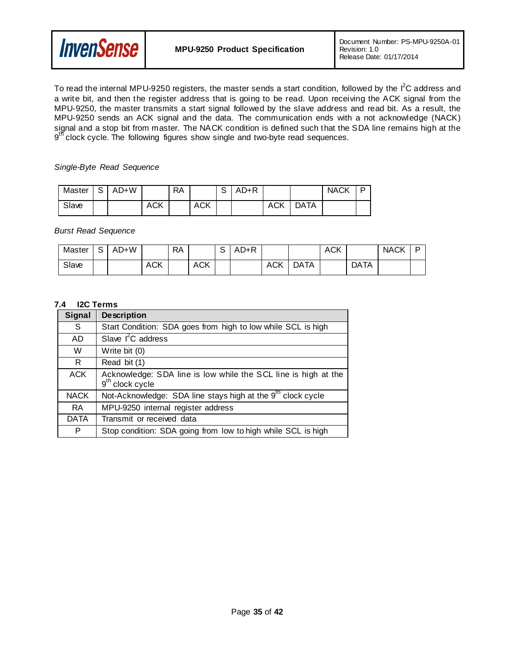

To read the internal MPU-9250 registers, the master sends a start condition, followed by the  $I^2C$  address and a write bit, and then the register address that is going to be read. Upon receiving the ACK signal from the MPU-9250, the master transmits a start signal followed by the slave address and read bit. As a result, the MPU-9250 sends an ACK signal and the data. The communication ends with a not acknowledge (NACK) signal and a stop bit from master. The NACK condition is defined such that the SDA line remains high at the 9<sup>th</sup> clock cycle. The following figures show single and two-byte read sequences.

#### *Single-Byte Read Sequence*

| Master | S. | AD+W |     | RA |     | $\sim$<br>১ | $AD+R$ |     |             | <b>NACK</b> | D |
|--------|----|------|-----|----|-----|-------------|--------|-----|-------------|-------------|---|
| Slave  |    |      | ACK |    | ACK |             |        | ACK | <b>DATA</b> |             |   |

*Burst Read Sequence*

| Master | $\sim$<br>ು | AD+W |            | <b>RA</b> |            | $\sim$ | $AD+R$ |            |      | <b>ACK</b> |             | <b>NACK</b> | D |
|--------|-------------|------|------------|-----------|------------|--------|--------|------------|------|------------|-------------|-------------|---|
| Slave  |             |      | <b>ACK</b> |           | <b>ACK</b> |        |        | <b>ACK</b> | DATA |            | <b>DATA</b> |             |   |

#### <span id="page-34-0"></span>**7.4 I2C Terms**

| <b>Signal</b> | <b>Description</b>                                                                  |
|---------------|-------------------------------------------------------------------------------------|
| S             | Start Condition: SDA goes from high to low while SCL is high                        |
| AD.           | Slave $I^2C$ address                                                                |
| W             | Write bit (0)                                                                       |
| R.            | Read bit (1)                                                                        |
| <b>ACK</b>    | Acknowledge: SDA line is low while the SCL line is high at the<br>$9th$ clock cycle |
| <b>NACK</b>   | Not-Acknowledge: SDA line stays high at the 9 <sup>th</sup> clock cycle             |
| <b>RA</b>     | MPU-9250 internal register address                                                  |
| <b>DATA</b>   | Transmit or received data                                                           |
| P             | Stop condition: SDA going from low to high while SCL is high                        |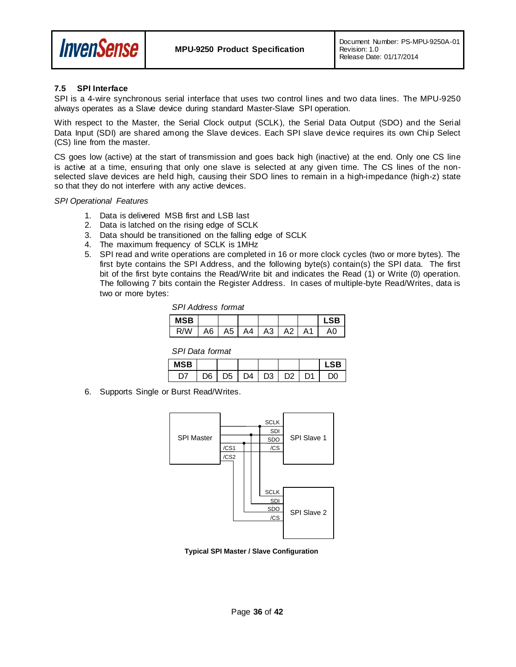

#### <span id="page-35-0"></span>**7.5 SPI Interface**

SPI is a 4-wire synchronous serial interface that uses two control lines and two data lines. The MPU-9250 always operates as a Slave device during standard Master-Slave SPI operation.

With respect to the Master, the Serial Clock output (SCLK), the Serial Data Output (SDO) and the Serial Data Input (SDI) are shared among the Slave devices. Each SPI slave device requires its own Chip Select (CS) line from the master.

CS goes low (active) at the start of transmission and goes back high (inactive) at the end. Only one CS line is active at a time, ensuring that only one slave is selected at any given time. The CS lines of the nonselected slave devices are held high, causing their SDO lines to remain in a high-impedance (high-z) state so that they do not interfere with any active devices.

#### *SPI Operational Features*

- 1. Data is delivered MSB first and LSB last
- 2. Data is latched on the rising edge of SCLK
- 3. Data should be transitioned on the falling edge of SCLK
- 4. The maximum frequency of SCLK is 1MHz
- 5. SPI read and write operations are completed in 16 or more clock cycles (two or more bytes). The first byte contains the SPI Address, and the following byte(s) contain(s) the SPI data. The first bit of the first byte contains the Read/Write bit and indicates the Read (1) or Write (0) operation. The following 7 bits contain the Register Address. In cases of multiple-byte Read/Writes, data is two or more bytes:

| <b>SPI Address format</b> |  |
|---------------------------|--|
|---------------------------|--|

| <b>MSB</b> |    |    |    |    |    | _SB . |
|------------|----|----|----|----|----|-------|
| R/W        | A6 | A5 | A4 | A3 | A2 |       |

*SPI Data format*

| 5н |    |    |    |                |    | ∣ SR |
|----|----|----|----|----------------|----|------|
|    | ገና | D5 | ٦4 | D <sub>3</sub> | ነን | λſ   |

6. Supports Single or Burst Read/Writes.



**Typical SPI Master / Slave Configuration**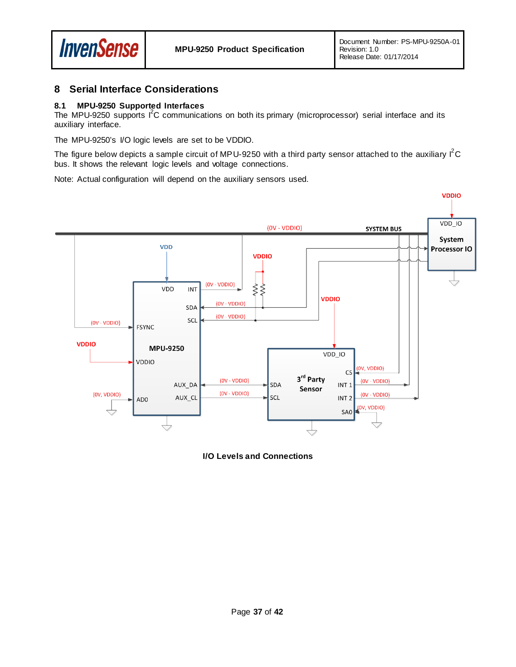

## <span id="page-36-0"></span>**8 Serial Interface Considerations**

#### <span id="page-36-1"></span>**8.1 MPU-9250 Supported Interfaces**

The MPU-9250 supports  $I^2C$  communications on both its primary (microprocessor) serial interface and its auxiliary interface.

The MPU-9250's I/O logic levels are set to be VDDIO.

The figure below depicts a sample circuit of MPU-9250 with a third party sensor attached to the auxiliary  $I^2C$ bus. It shows the relevant logic levels and voltage connections.

Note: Actual configuration will depend on the auxiliary sensors used.



**I/O Levels and Connections**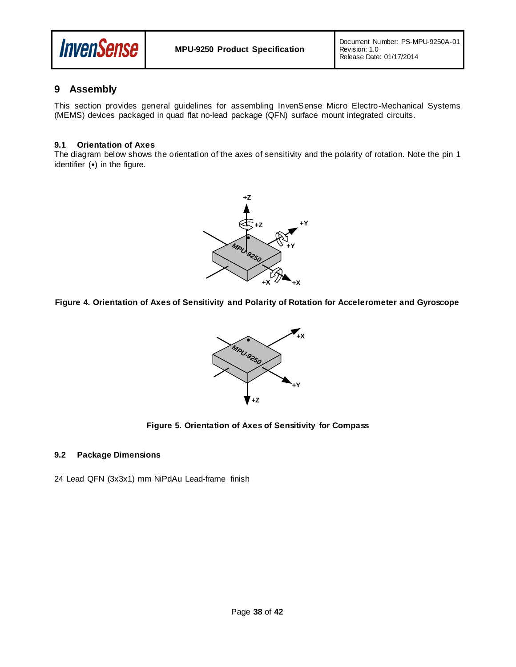

## <span id="page-37-0"></span>**9 Assembly**

This section provides general guidelines for assembling InvenSense Micro Electro-Mechanical Systems (MEMS) devices packaged in quad flat no-lead package (QFN) surface mount integrated circuits.

#### <span id="page-37-1"></span>**9.1 Orientation of Axes**

The diagram below shows the orientation of the axes of sensitivity and the polarity of rotation. Note the pin 1 identifier (•) in the figure.



**Figure 4. Orientation of Axes of Sensitivity and Polarity of Rotation for Accelerometer and Gyroscope**



#### **Figure 5. Orientation of Axes of Sensitivity for Compass**

#### <span id="page-37-2"></span>**9.2 Package Dimensions**

24 Lead QFN (3x3x1) mm NiPdAu Lead-frame finish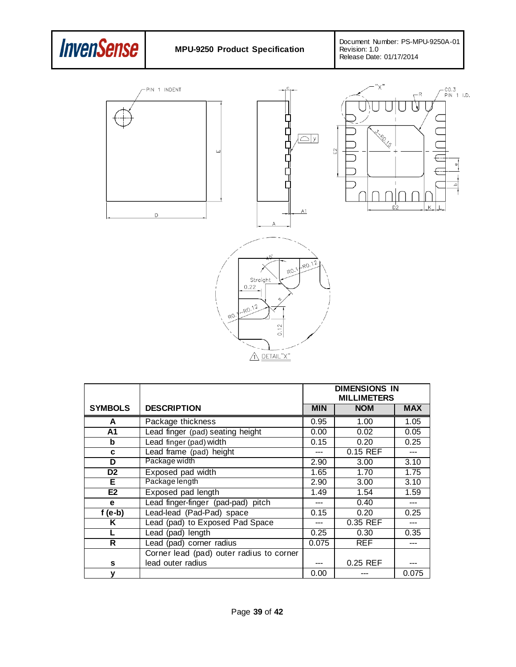









|                |                                          | <b>DIMENSIONS IN</b><br><b>MILLIMETERS</b> |            |            |
|----------------|------------------------------------------|--------------------------------------------|------------|------------|
| <b>SYMBOLS</b> | <b>DESCRIPTION</b>                       | <b>MIN</b>                                 | <b>NOM</b> | <b>MAX</b> |
| A              | Package thickness                        | 0.95                                       | 1.00       | 1.05       |
| A1             | Lead finger (pad) seating height         | 0.00                                       | 0.02       | 0.05       |
| b              | Lead finger (pad) width                  | 0.15                                       | 0.20       | 0.25       |
| C              | Lead frame (pad) height                  | ---                                        | 0.15 REF   |            |
| D              | Package width                            | 2.90                                       | 3.00       | 3.10       |
| D <sub>2</sub> | Exposed pad width                        | 1.65                                       | 1.70       | 1.75       |
| Е              | Package length                           | 2.90                                       | 3.00       | 3.10       |
| E2             | Exposed pad length                       | 1.49                                       | 1.54       | 1.59       |
| e              | Lead finger-finger (pad-pad) pitch       | ---                                        | 0.40       | ---        |
| $f(e-b)$       | Lead-lead (Pad-Pad) space                | 0.15                                       | 0.20       | 0.25       |
| Κ              | Lead (pad) to Exposed Pad Space          | ---                                        | 0.35 REF   |            |
|                | Lead (pad) length                        | 0.25                                       | 0.30       | 0.35       |
| R              | Lead (pad) corner radius                 | 0.075                                      | <b>REF</b> |            |
|                | Corner lead (pad) outer radius to corner |                                            |            |            |
| s              | lead outer radius                        |                                            | 0.25 REF   |            |
| y              |                                          | 0.00                                       |            | 0.075      |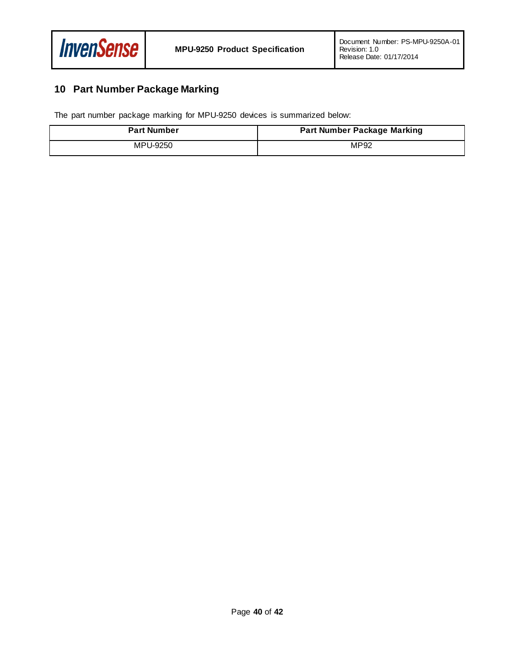

# <span id="page-39-0"></span>**10 Part Number Package Marking**

The part number package marking for MPU-9250 devices is summarized below:

| <b>Part Number</b> | <b>Part Number Package Marking</b> |
|--------------------|------------------------------------|
| MPU-9250           | MP92                               |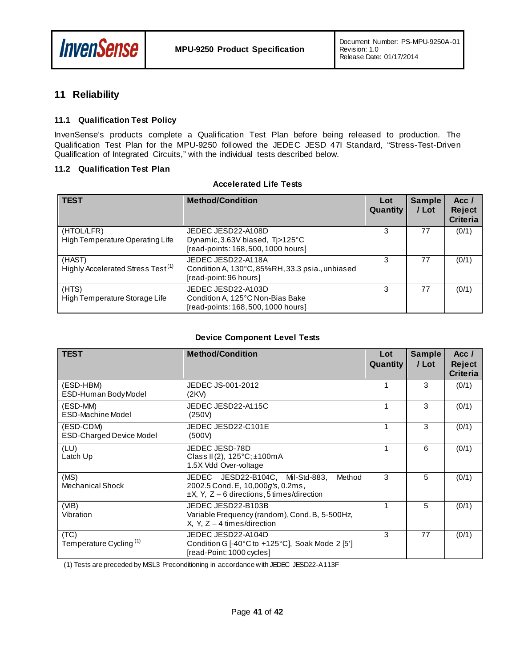

## <span id="page-40-0"></span>**11 Reliability**

#### <span id="page-40-1"></span>**11.1 Qualification Test Policy**

InvenSense's products complete a Qualification Test Plan before being released to production. The Qualification Test Plan for the MPU-9250 followed the JEDEC JESD 47I Standard, "Stress-Test-Driven Qualification of Integrated Circuits," with the individual tests described below.

#### <span id="page-40-2"></span>**11.2 Qualification Test Plan**

#### **Accelerated Life Tests**

| <b>TEST</b>                                             | <b>Method/Condition</b>                                                                         | Lot<br>Quantity | <b>Sample</b><br>/ Lot | Acc $\prime$<br><b>Reject</b><br><b>Criteria</b> |
|---------------------------------------------------------|-------------------------------------------------------------------------------------------------|-----------------|------------------------|--------------------------------------------------|
| (HTOL/LFR)<br>High Temperature Operating Life           | JEDEC JESD22-A108D<br>Dynamic, 3.63V biased, Tj>125°C<br>[read-points: 168, 500, 1000 hours]    | 3               | 77                     | (0/1)                                            |
| (HAST)<br>Highly Accelerated Stress Test <sup>(1)</sup> | JEDEC JESD22-A118A<br>Condition A, 130°C, 85%RH, 33.3 psia., unbiased<br>[read-point: 96 hours] | 3               | 77                     | (0/1)                                            |
| (HTS)<br>High Temperature Storage Life                  | JEDEC JESD22-A103D<br>Condition A, 125°C Non-Bias Bake<br>[read-points: 168, 500, 1000 hours]   | 3               | 77                     | (0/1)                                            |

#### **Device Component Level Tests**

| <b>TEST</b>                                  | <b>Method/Condition</b>                                                                                                            | Lot<br>Quantity | <b>Sample</b><br>/ Lot | Acc/<br><b>Reject</b><br><b>Criteria</b> |
|----------------------------------------------|------------------------------------------------------------------------------------------------------------------------------------|-----------------|------------------------|------------------------------------------|
| (ESD-HBM)<br>ESD-Human Body Model            | JEDEC JS-001-2012<br>(2KV)                                                                                                         |                 | 3                      | (0/1)                                    |
| (ESD-MM)<br><b>ESD-Machine Model</b>         | JEDEC JESD22-A115C<br>(250V)                                                                                                       | 1               | 3                      | (0/1)                                    |
| (ESD-CDM)<br><b>ESD-Charged Device Model</b> | JEDEC JESD22-C101E<br>(500V)                                                                                                       | 1               | 3                      | (0/1)                                    |
| (LU)<br>Latch Up                             | JEDEC JESD-78D<br>Class II(2), $125^{\circ}$ C; $\pm$ 100mA<br>1.5X Vdd Over-voltage                                               |                 | 6                      | (0/1)                                    |
| (MS)<br><b>Mechanical Shock</b>              | JEDEC JESD22-B104C, Mil-Std-883,<br>Method<br>2002.5 Cond. E, 10,000g's, 0.2ms,<br>$\pm$ X, Y, Z – 6 directions, 5 times/direction | 3               | 5                      | (0/1)                                    |
| (VIB)<br>Vibration                           | JEDEC JESD22-B103B<br>Variable Frequency (random), Cond. B, 5-500Hz,<br>$X, Y, Z - 4$ times/direction                              |                 | 5                      | (0/1)                                    |
| (TC)<br>Temperature Cycling <sup>(1)</sup>   | JEDEC JESD22-A104D<br>Condition G [-40 $^{\circ}$ C to +125 $^{\circ}$ C], Soak Mode 2 [5']<br>[read-Point: 1000 cycles]           | 3               | 77                     | (0/1)                                    |

(1) Tests are preceded by MSL3 Preconditioning in accordance with JEDEC JESD22-A113F